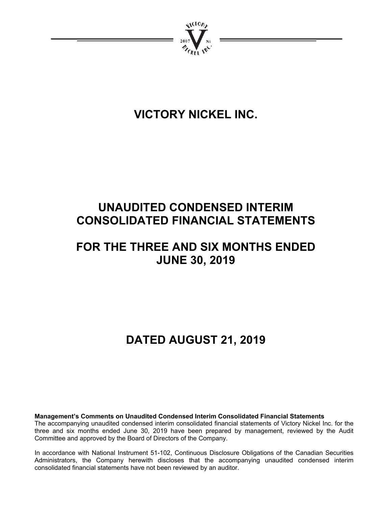

# **VICTORY NICKEL INC.**

# **UNAUDITED CONDENSED INTERIM CONSOLIDATED FINANCIAL STATEMENTS**

# **FOR THE THREE AND SIX MONTHS ENDED JUNE 30, 2019**

# **DATED AUGUST 21, 2019**

**Management's Comments on Unaudited Condensed Interim Consolidated Financial Statements**  The accompanying unaudited condensed interim consolidated financial statements of Victory Nickel Inc. for the three and six months ended June 30, 2019 have been prepared by management, reviewed by the Audit Committee and approved by the Board of Directors of the Company.

In accordance with National Instrument 51-102, Continuous Disclosure Obligations of the Canadian Securities Administrators, the Company herewith discloses that the accompanying unaudited condensed interim consolidated financial statements have not been reviewed by an auditor.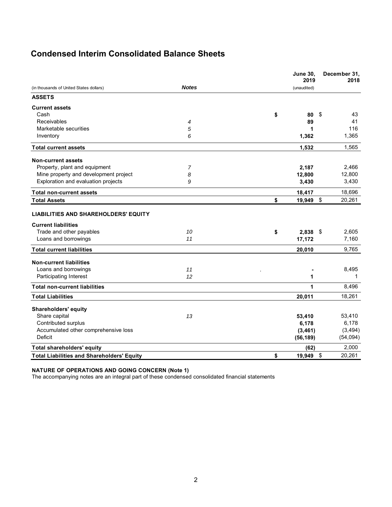# **Condensed Interim Consolidated Balance Sheets**

|                                                   |              | <b>June 30,</b><br>2019 | December 31,<br>2018 |
|---------------------------------------------------|--------------|-------------------------|----------------------|
| (in thousands of United States dollars)           | <b>Notes</b> | (unaudited)             |                      |
| <b>ASSETS</b>                                     |              |                         |                      |
| <b>Current assets</b>                             |              |                         |                      |
| Cash                                              |              | \$<br>80                | -\$<br>43            |
| Receivables                                       | 4            | 89                      | 41                   |
| Marketable securities                             | 5            | 1                       | 116                  |
| Inventory                                         | 6            | 1,362                   | 1,365                |
| <b>Total current assets</b>                       |              | 1,532                   | 1,565                |
| <b>Non-current assets</b>                         |              |                         |                      |
| Property, plant and equipment                     | 7            | 2,187                   | 2,466                |
| Mine property and development project             | 8            | 12,800                  | 12,800               |
| Exploration and evaluation projects               | 9            | 3,430                   | 3,430                |
| <b>Total non-current assets</b>                   |              | 18,417                  | 18,696               |
| <b>Total Assets</b>                               |              | \$<br>19,949 \$         | 20,261               |
| <b>LIABILITIES AND SHAREHOLDERS' EQUITY</b>       |              |                         |                      |
| <b>Current liabilities</b>                        |              |                         |                      |
| Trade and other payables                          | 10           | \$<br>$2,838$ \$        | 2,605                |
| Loans and borrowings                              | 11           | 17,172                  | 7,160                |
| <b>Total current liabilities</b>                  |              | 20,010                  | 9,765                |
| <b>Non-current liabilities</b>                    |              |                         |                      |
| Loans and borrowings                              | 11           |                         | 8,495                |
| Participating Interest                            | 12           | 1                       | 1                    |
| <b>Total non-current liabilities</b>              |              | 1                       | 8,496                |
| <b>Total Liabilities</b>                          |              | 20,011                  | 18,261               |
| <b>Shareholders' equity</b>                       |              |                         |                      |
| Share capital                                     | 13           | 53,410                  | 53,410               |
| Contributed surplus                               |              | 6,178                   | 6,178                |
| Accumulated other comprehensive loss              |              | (3, 461)                | (3, 494)             |
| Deficit                                           |              | (56, 189)               | (54,094)             |
| Total shareholders' equity                        |              | (62)                    | 2,000                |
| <b>Total Liabilities and Shareholders' Equity</b> |              | \$<br>19,949            | \$<br>20,261         |

#### **NATURE OF OPERATIONS AND GOING CONCERN (Note 1)**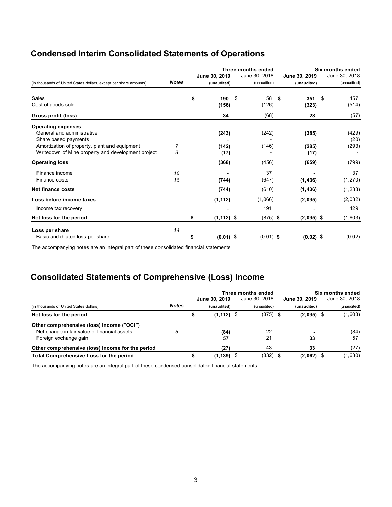# **Condensed Interim Consolidated Statements of Operations**

| (in thousands of United States dollars, except per share amounts) | <b>Notes</b> | June 30, 2019<br>(unaudited) | Three months ended<br>June 30, 2018<br>(unaudited) | June 30, 2019<br>(unaudited) | Six months ended<br>June 30, 2018<br>(unaudited) |
|-------------------------------------------------------------------|--------------|------------------------------|----------------------------------------------------|------------------------------|--------------------------------------------------|
| Sales                                                             |              | \$<br>190                    | 58<br>\$                                           | 351<br>\$                    | \$<br>457                                        |
| Cost of goods sold                                                |              | (156)                        | (126)                                              | (323)                        | (514)                                            |
| Gross profit (loss)                                               |              | 34                           | (68)                                               | 28                           | (57)                                             |
| <b>Operating expenses</b>                                         |              |                              |                                                    |                              |                                                  |
| General and administrative                                        |              | (243)                        | (242)                                              | (385)                        | (429)                                            |
| Share based payments                                              |              |                              |                                                    |                              | (20)                                             |
| Amortization of property, plant and equipment                     | 7            | (142)                        | (146)                                              | (285)                        | (293)                                            |
| Writedown of Mine property and development project                | 8            | (17)                         |                                                    | (17)                         |                                                  |
| <b>Operating loss</b>                                             |              | (368)                        | (456)                                              | (659)                        | (799)                                            |
| Finance income                                                    | 16           |                              | 37                                                 |                              | 37                                               |
| Finance costs                                                     | 16           | (744)                        | (647)                                              | (1, 436)                     | (1, 270)                                         |
| <b>Net finance costs</b>                                          |              | (744)                        | (610)                                              | (1, 436)                     | (1,233)                                          |
| Loss before income taxes                                          |              | (1, 112)                     | (1,066)                                            | (2,095)                      | (2,032)                                          |
| Income tax recovery                                               |              |                              | 191                                                |                              | 429                                              |
| Net loss for the period                                           |              | \$<br>$(1, 112)$ \$          | $(875)$ \$                                         | $(2,095)$ \$                 | (1,603)                                          |
| Loss per share                                                    | 14           |                              |                                                    |                              |                                                  |
| Basic and diluted loss per share                                  |              | $(0.01)$ \$<br>\$            | $(0.01)$ \$                                        | $(0.02)$ \$                  | (0.02)                                           |

The accompanying notes are an integral part of these consolidated financial statements

# **Consolidated Statements of Comprehensive (Loss) Income**

|                                                  |              | Three months ended |               |  |               |  | Six months ended |  |               |  |
|--------------------------------------------------|--------------|--------------------|---------------|--|---------------|--|------------------|--|---------------|--|
|                                                  |              |                    | June 30, 2019 |  | June 30, 2018 |  | June 30, 2019    |  | June 30, 2018 |  |
| (in thousands of United States dollars)          | <b>Notes</b> |                    | (unaudited)   |  | (unaudited)   |  | (unaudited)      |  | (unaudited)   |  |
| Net loss for the period                          |              |                    | $(1, 112)$ \$ |  | $(875)$ \$    |  | $(2,095)$ \$     |  | (1,603)       |  |
| Other comprehensive (loss) income ("OCI")        |              |                    |               |  |               |  |                  |  |               |  |
| Net change in fair value of financial assets     |              |                    | (84)          |  | 22            |  |                  |  | (84)          |  |
| Foreign exchange gain                            |              |                    | 57            |  | 21            |  | 33               |  | 57            |  |
| Other comprehensive (loss) income for the period |              |                    | (27)          |  | 43            |  | 33               |  | (27)          |  |
| Total Comprehensive Loss for the period          |              |                    | $(1, 139)$ \$ |  | (832)         |  | (2,062)          |  | (1,630)       |  |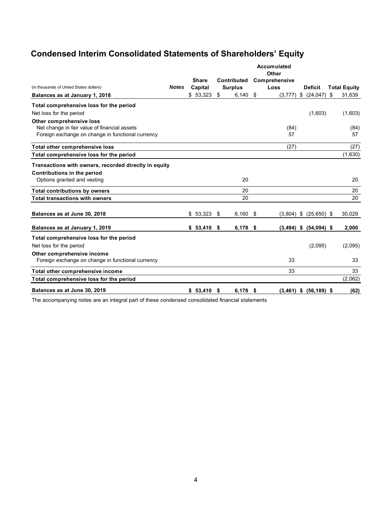# **Condensed Interim Consolidated Statements of Shareholders' Equity**

|                                                       |              | <b>Share</b> |    | <b>Contributed</b> | Accumulated<br>Other<br>Comprehensive |                            |     |                     |
|-------------------------------------------------------|--------------|--------------|----|--------------------|---------------------------------------|----------------------------|-----|---------------------|
| (in thousands of United States dollars)               | <b>Notes</b> | Capital      |    | <b>Surplus</b>     | Loss                                  | <b>Deficit</b>             |     | <b>Total Equity</b> |
| Balances as at January 1, 2018                        |              | \$53,323     | \$ | 6,140              | \$<br>$(3,777)$ \$                    | (24, 047)                  | -\$ | 31,639              |
| Total comprehensive loss for the period               |              |              |    |                    |                                       |                            |     |                     |
| Net loss for the period                               |              |              |    |                    |                                       | (1,603)                    |     | (1,603)             |
| Other comprehensive loss                              |              |              |    |                    |                                       |                            |     |                     |
| Net change in fair value of financial assets          |              |              |    |                    | (84)                                  |                            |     | (84)                |
| Foreign exchange on change in functional currency     |              |              |    |                    | 57                                    |                            |     | 57                  |
| Total other comprehensive loss                        |              |              |    |                    | (27)                                  |                            |     | (27)                |
| Total comprehensive loss for the period               |              |              |    |                    |                                       |                            |     | (1,630)             |
| Transactions with owners, recorded directly in equity |              |              |    |                    |                                       |                            |     |                     |
| Contributions in the period                           |              |              |    |                    |                                       |                            |     |                     |
| Options granted and vesting                           |              |              |    | 20                 |                                       |                            |     | 20                  |
| <b>Total contributions by owners</b>                  |              |              |    | 20                 |                                       |                            |     | 20                  |
| <b>Total transactions with owners</b>                 |              |              |    | 20                 |                                       |                            |     | 20                  |
| Balances as at June 30, 2018                          |              | \$53,323     | \$ | $6,160$ \$         | $(3,804)$ \$                          | $(25,650)$ \$              |     | 30,029              |
| Balances as at January 1, 2019                        |              | \$53,410     | \$ | $6,178$ \$         |                                       | $(3,494)$ \$ $(54,094)$ \$ |     | 2,000               |
| Total comprehensive loss for the period               |              |              |    |                    |                                       |                            |     |                     |
| Net loss for the period                               |              |              |    |                    |                                       | (2,095)                    |     | (2,095)             |
| Other comprehensive income                            |              |              |    |                    |                                       |                            |     |                     |
| Foreign exchange on change in functional currency     |              |              |    |                    | 33                                    |                            |     | 33                  |
| Total other comprehensive income                      |              |              |    |                    | 33                                    |                            |     | 33                  |
| Total comprehensive loss for the period               |              |              |    |                    |                                       |                            |     | (2,062)             |
| Balances as at June 30, 2019                          |              | \$53,410     | S  | 6,178 \$           |                                       | $(3,461)$ \$ $(56,189)$ \$ |     | (62)                |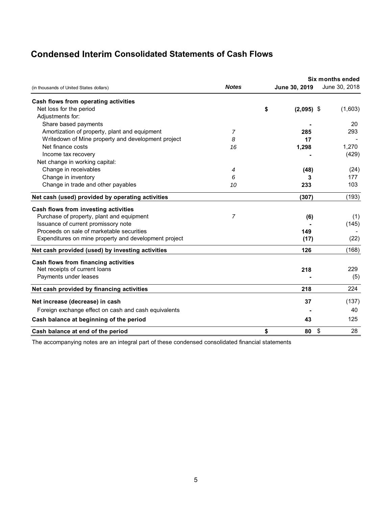# **Condensed Interim Consolidated Statements of Cash Flows**

|                                                       |              |                    | <b>Six months ended</b> |  |  |
|-------------------------------------------------------|--------------|--------------------|-------------------------|--|--|
| (in thousands of United States dollars)               | <b>Notes</b> | June 30, 2019      | June 30, 2018           |  |  |
| Cash flows from operating activities                  |              |                    |                         |  |  |
| Net loss for the period                               |              | \$<br>$(2,095)$ \$ | (1,603)                 |  |  |
| Adjustments for:                                      |              |                    |                         |  |  |
| Share based payments                                  |              |                    | 20                      |  |  |
| Amortization of property, plant and equipment         | 7            | 285                | 293                     |  |  |
| Writedown of Mine property and development project    | 8            | 17                 |                         |  |  |
| Net finance costs                                     | 16           | 1,298              | 1,270                   |  |  |
| Income tax recovery                                   |              |                    | (429)                   |  |  |
| Net change in working capital:                        |              |                    |                         |  |  |
| Change in receivables                                 | 4            | (48)               | (24)                    |  |  |
| Change in inventory                                   | 6            | 3                  | 177                     |  |  |
| Change in trade and other payables                    | 10           | 233                | 103                     |  |  |
| Net cash (used) provided by operating activities      |              | (307)              | (193)                   |  |  |
| Cash flows from investing activities                  |              |                    |                         |  |  |
| Purchase of property, plant and equipment             | 7            | (6)                | (1)                     |  |  |
| Issuance of current promissory note                   |              |                    | (145)                   |  |  |
| Proceeds on sale of marketable securities             |              | 149                |                         |  |  |
| Expenditures on mine property and development project |              | (17)               | (22)                    |  |  |
| Net cash provided (used) by investing activities      |              | 126                | (168)                   |  |  |
| Cash flows from financing activities                  |              |                    |                         |  |  |
| Net receipts of current loans                         |              | 218                | 229                     |  |  |
| Payments under leases                                 |              |                    | (5)                     |  |  |
| Net cash provided by financing activities             |              | 218                | 224                     |  |  |
| Net increase (decrease) in cash                       |              | 37                 | (137)                   |  |  |
| Foreign exchange effect on cash and cash equivalents  |              |                    | 40                      |  |  |
| Cash balance at beginning of the period               |              | 43                 | 125                     |  |  |
| Cash balance at end of the period                     |              | \$<br>80           | \$<br>28                |  |  |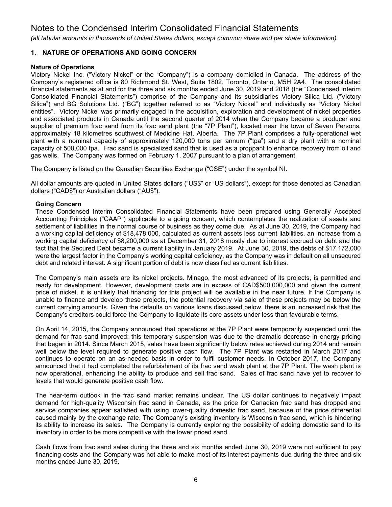*(all tabular amounts in thousands of United States dollars, except common share and per share information)*

# **1. NATURE OF OPERATIONS AND GOING CONCERN**

# **Nature of Operations**

Victory Nickel Inc. ("Victory Nickel" or the "Company") is a company domiciled in Canada. The address of the Company's registered office is 80 Richmond St. West, Suite 1802, Toronto, Ontario, M5H 2A4. The consolidated financial statements as at and for the three and six months ended June 30, 2019 and 2018 (the "Condensed Interim Consolidated Financial Statements") comprise of the Company and its subsidiaries Victory Silica Ltd. ("Victory Silica") and BG Solutions Ltd. ("BG") together referred to as "Victory Nickel" and individually as "Victory Nickel entities". Victory Nickel was primarily engaged in the acquisition, exploration and development of nickel properties and associated products in Canada until the second quarter of 2014 when the Company became a producer and supplier of premium frac sand from its frac sand plant (the "7P Plant"), located near the town of Seven Persons, approximately 18 kilometres southwest of Medicine Hat, Alberta. The 7P Plant comprises a fully-operational wet plant with a nominal capacity of approximately 120,000 tons per annum ("tpa") and a dry plant with a nominal capacity of 500,000 tpa. Frac sand is specialized sand that is used as a proppant to enhance recovery from oil and gas wells. The Company was formed on February 1, 2007 pursuant to a plan of arrangement.

The Company is listed on the Canadian Securities Exchange ("CSE") under the symbol NI.

All dollar amounts are quoted in United States dollars ("US\$" or "US dollars"), except for those denoted as Canadian dollars ("CAD\$") or Australian dollars ("AU\$").

# **Going Concern**

These Condensed Interim Consolidated Financial Statements have been prepared using Generally Accepted Accounting Principles ("GAAP") applicable to a going concern, which contemplates the realization of assets and settlement of liabilities in the normal course of business as they come due. As at June 30, 2019, the Company had a working capital deficiency of \$18,478,000, calculated as current assets less current liabilities, an increase from a working capital deficiency of \$8,200,000 as at December 31, 2018 mostly due to interest accrued on debt and the fact that the Secured Debt became a current liability in January 2019. At June 30, 2019, the debts of \$17,172,000 were the largest factor in the Company's working capital deficiency, as the Company was in default on all unsecured debt and related interest. A significant portion of debt is now classified as current liabilities.

The Company's main assets are its nickel projects. Minago, the most advanced of its projects, is permitted and ready for development. However, development costs are in excess of CAD\$500,000,000 and given the current price of nickel, it is unlikely that financing for this project will be available in the near future. If the Company is unable to finance and develop these projects, the potential recovery via sale of these projects may be below the current carrying amounts. Given the defaults on various loans discussed below, there is an increased risk that the Company's creditors could force the Company to liquidate its core assets under less than favourable terms.

On April 14, 2015, the Company announced that operations at the 7P Plant were temporarily suspended until the demand for frac sand improved; this temporary suspension was due to the dramatic decrease in energy pricing that began in 2014. Since March 2015, sales have been significantly below rates achieved during 2014 and remain well below the level required to generate positive cash flow. The 7P Plant was restarted in March 2017 and continues to operate on an as-needed basis in order to fulfil customer needs. In October 2017, the Company announced that it had completed the refurbishment of its frac sand wash plant at the 7P Plant. The wash plant is now operational, enhancing the ability to produce and sell frac sand. Sales of frac sand have yet to recover to levels that would generate positive cash flow.

The near-term outlook in the frac sand market remains unclear. The US dollar continues to negatively impact demand for high-quality Wisconsin frac sand in Canada, as the price for Canadian frac sand has dropped and service companies appear satisfied with using lower-quality domestic frac sand, because of the price differential caused mainly by the exchange rate. The Company's existing inventory is Wisconsin frac sand, which is hindering its ability to increase its sales. The Company is currently exploring the possibility of adding domestic sand to its inventory in order to be more competitive with the lower priced sand.

Cash flows from frac sand sales during the three and six months ended June 30, 2019 were not sufficient to pay financing costs and the Company was not able to make most of its interest payments due during the three and six months ended June 30, 2019.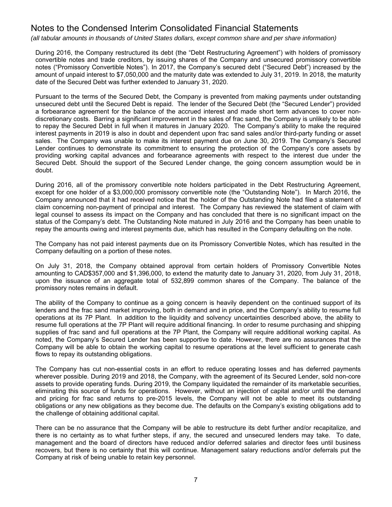*(all tabular amounts in thousands of United States dollars, except common share and per share information)*

During 2016, the Company restructured its debt (the "Debt Restructuring Agreement") with holders of promissory convertible notes and trade creditors, by issuing shares of the Company and unsecured promissory convertible notes ("Promissory Convertible Notes"). In 2017, the Company's secured debt ("Secured Debt") increased by the amount of unpaid interest to \$7,050,000 and the maturity date was extended to July 31, 2019. In 2018, the maturity date of the Secured Debt was further extended to January 31, 2020.

Pursuant to the terms of the Secured Debt, the Company is prevented from making payments under outstanding unsecured debt until the Secured Debt is repaid. The lender of the Secured Debt (the "Secured Lender") provided a forbearance agreement for the balance of the accrued interest and made short term advances to cover nondiscretionary costs. Barring a significant improvement in the sales of frac sand, the Company is unlikely to be able to repay the Secured Debt in full when it matures in January 2020. The Company's ability to make the required interest payments in 2019 is also in doubt and dependent upon frac sand sales and/or third-party funding or asset sales. The Company was unable to make its interest payment due on June 30, 2019. The Company's Secured Lender continues to demonstrate its commitment to ensuring the protection of the Company's core assets by providing working capital advances and forbearance agreements with respect to the interest due under the Secured Debt. Should the support of the Secured Lender change, the going concern assumption would be in doubt.

During 2016, all of the promissory convertible note holders participated in the Debt Restructuring Agreement, except for one holder of a \$3,000,000 promissory convertible note (the "Outstanding Note"). In March 2016, the Company announced that it had received notice that the holder of the Outstanding Note had filed a statement of claim concerning non-payment of principal and interest. The Company has reviewed the statement of claim with legal counsel to assess its impact on the Company and has concluded that there is no significant impact on the status of the Company's debt. The Outstanding Note matured in July 2016 and the Company has been unable to repay the amounts owing and interest payments due, which has resulted in the Company defaulting on the note.

The Company has not paid interest payments due on its Promissory Convertible Notes, which has resulted in the Company defaulting on a portion of these notes.

On July 31, 2018, the Company obtained approval from certain holders of Promissory Convertible Notes amounting to CAD\$357,000 and \$1,396,000, to extend the maturity date to January 31, 2020, from July 31, 2018, upon the issuance of an aggregate total of 532,899 common shares of the Company. The balance of the promissory notes remains in default.

The ability of the Company to continue as a going concern is heavily dependent on the continued support of its lenders and the frac sand market improving, both in demand and in price, and the Company's ability to resume full operations at its 7P Plant. In addition to the liquidity and solvency uncertainties described above, the ability to resume full operations at the 7P Plant will require additional financing. In order to resume purchasing and shipping supplies of frac sand and full operations at the 7P Plant, the Company will require additional working capital. As noted, the Company's Secured Lender has been supportive to date. However, there are no assurances that the Company will be able to obtain the working capital to resume operations at the level sufficient to generate cash flows to repay its outstanding obligations.

The Company has cut non-essential costs in an effort to reduce operating losses and has deferred payments wherever possible. During 2019 and 2018, the Company, with the agreement of its Secured Lender, sold non-core assets to provide operating funds. During 2019, the Company liquidated the remainder of its marketable securities, eliminating this source of funds for operations. However, without an injection of capital and/or until the demand and pricing for frac sand returns to pre-2015 levels, the Company will not be able to meet its outstanding obligations or any new obligations as they become due. The defaults on the Company's existing obligations add to the challenge of obtaining additional capital.

There can be no assurance that the Company will be able to restructure its debt further and/or recapitalize, and there is no certainty as to what further steps, if any, the secured and unsecured lenders may take. To date, management and the board of directors have reduced and/or deferred salaries and director fees until business recovers, but there is no certainty that this will continue. Management salary reductions and/or deferrals put the Company at risk of being unable to retain key personnel.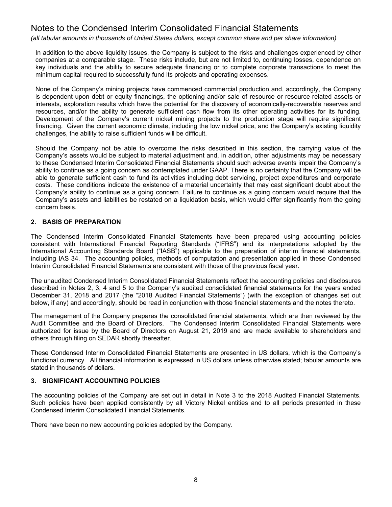*(all tabular amounts in thousands of United States dollars, except common share and per share information)*

In addition to the above liquidity issues, the Company is subject to the risks and challenges experienced by other companies at a comparable stage. These risks include, but are not limited to, continuing losses, dependence on key individuals and the ability to secure adequate financing or to complete corporate transactions to meet the minimum capital required to successfully fund its projects and operating expenses.

None of the Company's mining projects have commenced commercial production and, accordingly, the Company is dependent upon debt or equity financings, the optioning and/or sale of resource or resource-related assets or interests, exploration results which have the potential for the discovery of economically-recoverable reserves and resources, and/or the ability to generate sufficient cash flow from its other operating activities for its funding. Development of the Company's current nickel mining projects to the production stage will require significant financing. Given the current economic climate, including the low nickel price, and the Company's existing liquidity challenges, the ability to raise sufficient funds will be difficult.

Should the Company not be able to overcome the risks described in this section, the carrying value of the Company's assets would be subject to material adjustment and, in addition, other adjustments may be necessary to these Condensed Interim Consolidated Financial Statements should such adverse events impair the Company's ability to continue as a going concern as contemplated under GAAP. There is no certainty that the Company will be able to generate sufficient cash to fund its activities including debt servicing, project expenditures and corporate costs. These conditions indicate the existence of a material uncertainty that may cast significant doubt about the Company's ability to continue as a going concern. Failure to continue as a going concern would require that the Company's assets and liabilities be restated on a liquidation basis, which would differ significantly from the going concern basis.

# **2. BASIS OF PREPARATION**

The Condensed Interim Consolidated Financial Statements have been prepared using accounting policies consistent with International Financial Reporting Standards ("IFRS") and its interpretations adopted by the International Accounting Standards Board ("IASB") applicable to the preparation of interim financial statements, including IAS 34. The accounting policies, methods of computation and presentation applied in these Condensed Interim Consolidated Financial Statements are consistent with those of the previous fiscal year.

The unaudited Condensed Interim Consolidated Financial Statements reflect the accounting policies and disclosures described in Notes 2, 3, 4 and 5 to the Company's audited consolidated financial statements for the years ended December 31, 2018 and 2017 (the "2018 Audited Financial Statements") (with the exception of changes set out below, if any) and accordingly, should be read in conjunction with those financial statements and the notes thereto.

The management of the Company prepares the consolidated financial statements, which are then reviewed by the Audit Committee and the Board of Directors. The Condensed Interim Consolidated Financial Statements were authorized for issue by the Board of Directors on August 21, 2019 and are made available to shareholders and others through filing on SEDAR shortly thereafter.

These Condensed Interim Consolidated Financial Statements are presented in US dollars, which is the Company's functional currency. All financial information is expressed in US dollars unless otherwise stated; tabular amounts are stated in thousands of dollars.

# **3. SIGNIFICANT ACCOUNTING POLICIES**

The accounting policies of the Company are set out in detail in Note 3 to the 2018 Audited Financial Statements. Such policies have been applied consistently by all Victory Nickel entities and to all periods presented in these Condensed Interim Consolidated Financial Statements.

There have been no new accounting policies adopted by the Company.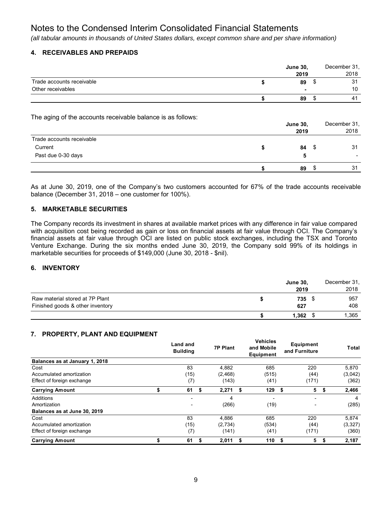*(all tabular amounts in thousands of United States dollars, except common share and per share information)*

# **4. RECEIVABLES AND PREPAIDS**

|                           | <b>June 30,</b> |                          | December 31, |
|---------------------------|-----------------|--------------------------|--------------|
|                           |                 | 2019                     | 2018         |
| Trade accounts receivable |                 | 89                       | 31           |
| Other receivables         |                 | $\overline{\phantom{a}}$ | 10           |
|                           |                 | 89                       | 41           |

The aging of the accounts receivable balance is as follows:

|                           | <b>June 30,</b><br>2019 |      | December 31,<br>2018 |
|---------------------------|-------------------------|------|----------------------|
| Trade accounts receivable |                         |      |                      |
| Current                   | 84                      | - \$ | 31                   |
| Past due 0-30 days        | 5                       |      |                      |
|                           | 89                      |      | 31                   |

As at June 30, 2019, one of the Company's two customers accounted for 67% of the trade accounts receivable balance (December 31, 2018 – one customer for 100%).

# **5. MARKETABLE SECURITIES**

The Company records its investment in shares at available market prices with any difference in fair value compared with acquisition cost being recorded as gain or loss on financial assets at fair value through OCI. The Company's financial assets at fair value through OCI are listed on public stock exchanges, including the TSX and Toronto Venture Exchange. During the six months ended June 30, 2019, the Company sold 99% of its holdings in marketable securities for proceeds of \$149,000 (June 30, 2018 - \$nil).

# **6. INVENTORY**

|                                  | <b>June 30,</b><br>2019 | December 31,<br>2018 |
|----------------------------------|-------------------------|----------------------|
|                                  |                         |                      |
| Raw material stored at 7P Plant  | 735                     | 957                  |
| Finished goods & other inventory | 627                     | 408                  |
|                                  | 1.362                   | 1,365                |

### **7. PROPERTY, PLANT AND EQUIPMENT**

|                                | Land and<br><b>Building</b> | <b>7P Plant</b> | <b>Vehicles</b><br>and Mobile<br>Equipment | <b>Equipment</b><br>and Furniture |    | Total   |
|--------------------------------|-----------------------------|-----------------|--------------------------------------------|-----------------------------------|----|---------|
| Balances as at January 1, 2018 |                             |                 |                                            |                                   |    |         |
| Cost                           | 83                          | 4.882           | 685                                        | 220                               |    | 5,870   |
| Accumulated amortization       | (15)                        | (2, 468)        | (515)                                      | (44)                              |    | (3,042) |
| Effect of foreign exchange     | (7)                         | (143)           | (41)                                       | (171)                             |    | (362)   |
| <b>Carrying Amount</b>         | \$<br>61                    | \$<br>2,271     | \$<br>129                                  | 5<br>-\$                          | \$ | 2,466   |
| <b>Additions</b>               | -                           | 4               | $\overline{\phantom{0}}$                   | $\overline{\phantom{0}}$          |    | 4       |
| Amortization                   | ٠                           | (266)           | (19)                                       | $\overline{\phantom{a}}$          |    | (285)   |
| Balances as at June 30, 2019   |                             |                 |                                            |                                   |    |         |
| Cost                           | 83                          | 4.886           | 685                                        | 220                               |    | 5,874   |
| Accumulated amortization       | (15)                        | (2,734)         | (534)                                      | (44)                              |    | (3,327) |
| Effect of foreign exchange     | (7)                         | (141)           | (41)                                       | (171)                             |    | (360)   |
| <b>Carrying Amount</b>         | \$<br>61                    | \$<br>2.011     | \$<br>110                                  | 5<br>- \$                         | S  | 2,187   |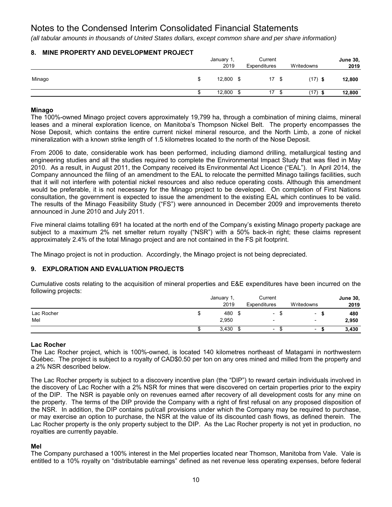*(all tabular amounts in thousands of United States dollars, except common share and per share information)*

# **8. MINE PROPERTY AND DEVELOPMENT PROJECT**

|        | January 1,<br>2019 |   | Current<br>Expenditures |      | Writedowns | <b>June 30,</b><br>2019 |
|--------|--------------------|---|-------------------------|------|------------|-------------------------|
| Minago | 12,800             | S | 17                      | - \$ | $(17)$ \$  | 12,800                  |
|        | 12,800             |   | 17                      |      | $(17)$ \$  | 12,800                  |

### **Minago**

The 100%-owned Minago project covers approximately 19,799 ha, through a combination of mining claims, mineral leases and a mineral exploration licence, on Manitoba's Thompson Nickel Belt. The property encompasses the Nose Deposit, which contains the entire current nickel mineral resource, and the North Limb, a zone of nickel mineralization with a known strike length of 1.5 kilometres located to the north of the Nose Deposit.

From 2006 to date, considerable work has been performed, including diamond drilling, metallurgical testing and engineering studies and all the studies required to complete the Environmental Impact Study that was filed in May 2010. As a result, in August 2011, the Company received its Environmental Act Licence ("EAL"). In April 2014, the Company announced the filing of an amendment to the EAL to relocate the permitted Minago tailings facilities, such that it will not interfere with potential nickel resources and also reduce operating costs. Although this amendment would be preferable, it is not necessary for the Minago project to be developed. On completion of First Nations consultation, the government is expected to issue the amendment to the existing EAL which continues to be valid. The results of the Minago Feasibility Study ("FS") were announced in December 2009 and improvements thereto announced in June 2010 and July 2011.

Five mineral claims totalling 691 ha located at the north end of the Company's existing Minago property package are subject to a maximum 2% net smelter return royalty ("NSR") with a 50% back-in right; these claims represent approximately 2.4% of the total Minago project and are not contained in the FS pit footprint.

The Minago project is not in production. Accordingly, the Minago project is not being depreciated.

# **9. EXPLORATION AND EVALUATION PROJECTS**

Cumulative costs relating to the acquisition of mineral properties and E&E expenditures have been incurred on the following projects:

|            | January 1, |   | Current                  |                          | <b>June 30,</b> |
|------------|------------|---|--------------------------|--------------------------|-----------------|
|            | 2019       |   | Expenditures             | Writedowns               | 2019            |
| Lac Rocher | 480        | ъ | $\overline{\phantom{0}}$ | $\overline{\phantom{a}}$ | 480             |
| Mel        | 2,950      |   | $\overline{\phantom{0}}$ | $\overline{\phantom{0}}$ | 2,950           |
|            | 3,430      |   | $\overline{\phantom{0}}$ | $\overline{\phantom{0}}$ | 3,430           |

### **Lac Rocher**

The Lac Rocher project, which is 100%-owned, is located 140 kilometres northeast of Matagami in northwestern Québec. The project is subject to a royalty of CAD\$0.50 per ton on any ores mined and milled from the property and a 2% NSR described below.

The Lac Rocher property is subject to a discovery incentive plan (the "DIP") to reward certain individuals involved in the discovery of Lac Rocher with a 2% NSR for mines that were discovered on certain properties prior to the expiry of the DIP. The NSR is payable only on revenues earned after recovery of all development costs for any mine on the property. The terms of the DIP provide the Company with a right of first refusal on any proposed disposition of the NSR. In addition, the DIP contains put/call provisions under which the Company may be required to purchase, or may exercise an option to purchase, the NSR at the value of its discounted cash flows, as defined therein. The Lac Rocher property is the only property subject to the DIP. As the Lac Rocher property is not yet in production, no royalties are currently payable.

### **Mel**

The Company purchased a 100% interest in the Mel properties located near Thomson, Manitoba from Vale. Vale is entitled to a 10% royalty on "distributable earnings" defined as net revenue less operating expenses, before federal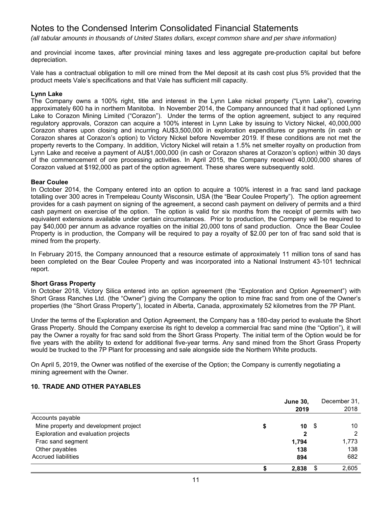*(all tabular amounts in thousands of United States dollars, except common share and per share information)*

and provincial income taxes, after provincial mining taxes and less aggregate pre-production capital but before depreciation.

Vale has a contractual obligation to mill ore mined from the Mel deposit at its cash cost plus 5% provided that the product meets Vale's specifications and that Vale has sufficient mill capacity.

### **Lynn Lake**

The Company owns a 100% right, title and interest in the Lynn Lake nickel property ("Lynn Lake"), covering approximately 600 ha in northern Manitoba. In November 2014, the Company announced that it had optioned Lynn Lake to Corazon Mining Limited ("Corazon"). Under the terms of the option agreement, subject to any required regulatory approvals, Corazon can acquire a 100% interest in Lynn Lake by issuing to Victory Nickel, 40,000,000 Corazon shares upon closing and incurring AU\$3,500,000 in exploration expenditures or payments (in cash or Corazon shares at Corazon's option) to Victory Nickel before November 2019. If these conditions are not met the property reverts to the Company. In addition, Victory Nickel will retain a 1.5% net smelter royalty on production from Lynn Lake and receive a payment of AU\$1,000,000 (in cash or Corazon shares at Corazon's option) within 30 days of the commencement of ore processing activities. In April 2015, the Company received 40,000,000 shares of Corazon valued at \$192,000 as part of the option agreement. These shares were subsequently sold.

#### **Bear Coulee**

In October 2014, the Company entered into an option to acquire a 100% interest in a frac sand land package totalling over 300 acres in Trempeleau County Wisconsin, USA (the "Bear Coulee Property"). The option agreement provides for a cash payment on signing of the agreement, a second cash payment on delivery of permits and a third cash payment on exercise of the option. The option is valid for six months from the receipt of permits with two equivalent extensions available under certain circumstances. Prior to production, the Company will be required to pay \$40,000 per annum as advance royalties on the initial 20,000 tons of sand production. Once the Bear Coulee Property is in production, the Company will be required to pay a royalty of \$2.00 per ton of frac sand sold that is mined from the property.

In February 2015, the Company announced that a resource estimate of approximately 11 million tons of sand has been completed on the Bear Coulee Property and was incorporated into a National Instrument 43-101 technical report.

### **Short Grass Property**

In October 2018, Victory Silica entered into an option agreement (the "Exploration and Option Agreement") with Short Grass Ranches Ltd. (the "Owner") giving the Company the option to mine frac sand from one of the Owner's properties (the "Short Grass Property"), located in Alberta, Canada, approximately 52 kilometres from the 7P Plant.

Under the terms of the Exploration and Option Agreement, the Company has a 180-day period to evaluate the Short Grass Property. Should the Company exercise its right to develop a commercial frac sand mine (the "Option"), it will pay the Owner a royalty for frac sand sold from the Short Grass Property. The initial term of the Option would be for five years with the ability to extend for additional five-year terms. Any sand mined from the Short Grass Property would be trucked to the 7P Plant for processing and sale alongside side the Northern White products.

On April 5, 2019, the Owner was notified of the exercise of the Option; the Company is currently negotiating a mining agreement with the Owner.

### **10. TRADE AND OTHER PAYABLES**

|                                       | <b>June 30,</b> |    | December 31, |
|---------------------------------------|-----------------|----|--------------|
|                                       | 2019            |    | 2018         |
| Accounts payable                      |                 |    |              |
| Mine property and development project | 10              | -5 | 10           |
| Exploration and evaluation projects   | 2               |    | 2            |
| Frac sand segment                     | 1.794           |    | 1,773        |
| Other payables                        | 138             |    | 138          |
| <b>Accrued liabilities</b>            | 894             |    | 682          |
|                                       | 2,838           |    | 2,605        |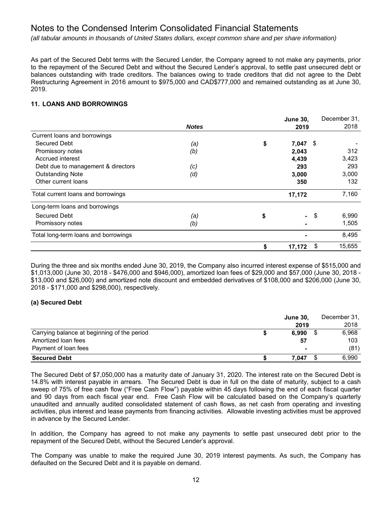*(all tabular amounts in thousands of United States dollars, except common share and per share information)*

As part of the Secured Debt terms with the Secured Lender, the Company agreed to not make any payments, prior to the repayment of the Secured Debt and without the Secured Lender's approval, to settle past unsecured debt or balances outstanding with trade creditors. The balances owing to trade creditors that did not agree to the Debt Restructuring Agreement in 2016 amount to \$975,000 and CAD\$777,000 and remained outstanding as at June 30, 2019.

# **11. LOANS AND BORROWINGS**

|                                      |              | <b>June 30,</b> |     | December 31, |
|--------------------------------------|--------------|-----------------|-----|--------------|
|                                      | <b>Notes</b> | 2019            |     | 2018         |
| Current loans and borrowings         |              |                 |     |              |
| Secured Debt                         | (a)          | \$<br>7,047     | \$  |              |
| Promissory notes                     | (b)          | 2,043           |     | 312          |
| Accrued interest                     |              | 4,439           |     | 3,423        |
| Debt due to management & directors   | (c)          | 293             |     | 293          |
| <b>Outstanding Note</b>              | (d)          | 3,000           |     | 3,000        |
| Other current loans                  |              | 350             |     | 132          |
| Total current loans and borrowings   |              | 17,172          |     | 7,160        |
| Long-term loans and borrowings       |              |                 |     |              |
| <b>Secured Debt</b>                  | (a)          | \$<br>$\sim$    | -\$ | 6,990        |
| Promissory notes                     | (b)          |                 |     | 1,505        |
| Total long-term loans and borrowings |              |                 |     | 8,495        |
|                                      |              | \$<br>17,172    | \$  | 15,655       |

During the three and six months ended June 30, 2019, the Company also incurred interest expense of \$515,000 and \$1,013,000 (June 30, 2018 - \$476,000 and \$946,000), amortized loan fees of \$29,000 and \$57,000 (June 30, 2018 - \$13,000 and \$26,000) and amortized note discount and embedded derivatives of \$108,000 and \$206,000 (June 30, 2018 - \$171,000 and \$298,000), respectively.

# **(a) Secured Debt**

|                                             | June 30. |                          | December 31, |  |
|---------------------------------------------|----------|--------------------------|--------------|--|
|                                             |          | 2019                     | 2018         |  |
| Carrying balance at beginning of the period |          | 6.990                    | 6.968        |  |
| Amortized loan fees                         |          | 57                       | 103          |  |
| Payment of loan fees                        |          | $\overline{\phantom{a}}$ | (81)         |  |
| <b>Secured Debt</b>                         |          | 7.047                    | 6,990        |  |

The Secured Debt of \$7,050,000 has a maturity date of January 31, 2020. The interest rate on the Secured Debt is 14.8% with interest payable in arrears. The Secured Debt is due in full on the date of maturity, subject to a cash sweep of 75% of free cash flow ("Free Cash Flow") payable within 45 days following the end of each fiscal quarter and 90 days from each fiscal year end. Free Cash Flow will be calculated based on the Company's quarterly unaudited and annually audited consolidated statement of cash flows, as net cash from operating and investing activities, plus interest and lease payments from financing activities. Allowable investing activities must be approved in advance by the Secured Lender.

In addition, the Company has agreed to not make any payments to settle past unsecured debt prior to the repayment of the Secured Debt, without the Secured Lender's approval.

The Company was unable to make the required June 30, 2019 interest payments. As such, the Company has defaulted on the Secured Debt and it is payable on demand.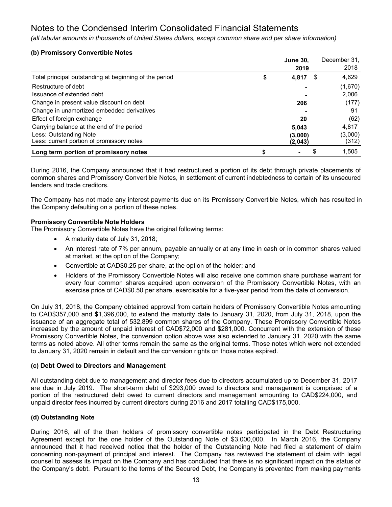*(all tabular amounts in thousands of United States dollars, except common share and per share information)*

# **(b) Promissory Convertible Notes**

|                                                        | <b>June 30.</b> | December 31, |
|--------------------------------------------------------|-----------------|--------------|
|                                                        | 2019            | 2018         |
| Total principal outstanding at beginning of the period | \$<br>4,817     | \$<br>4,629  |
| Restructure of debt                                    |                 | (1,670)      |
| Issuance of extended debt                              |                 | 2,006        |
| Change in present value discount on debt               | 206             | (177)        |
| Change in unamortized embedded derivatives             |                 | 91           |
| Effect of foreign exchange                             | 20              | (62)         |
| Carrying balance at the end of the period              | 5,043           | 4,817        |
| Less: Outstanding Note                                 | (3,000)         | (3,000)      |
| Less: current portion of promissory notes              | (2,043)         | (312)        |
| Long term portion of promissory notes                  |                 | \$<br>1,505  |

During 2016, the Company announced that it had restructured a portion of its debt through private placements of common shares and Promissory Convertible Notes, in settlement of current indebtedness to certain of its unsecured lenders and trade creditors.

The Company has not made any interest payments due on its Promissory Convertible Notes, which has resulted in the Company defaulting on a portion of these notes.

# **Promissory Convertible Note Holders**

The Promissory Convertible Notes have the original following terms:

- A maturity date of July 31, 2018;
- An interest rate of 7% per annum, payable annually or at any time in cash or in common shares valued at market, at the option of the Company;
- Convertible at CAD\$0.25 per share, at the option of the holder; and
- Holders of the Promissory Convertible Notes will also receive one common share purchase warrant for every four common shares acquired upon conversion of the Promissory Convertible Notes, with an exercise price of CAD\$0.50 per share, exercisable for a five-year period from the date of conversion.

On July 31, 2018, the Company obtained approval from certain holders of Promissory Convertible Notes amounting to CAD\$357,000 and \$1,396,000, to extend the maturity date to January 31, 2020, from July 31, 2018, upon the issuance of an aggregate total of 532,899 common shares of the Company. These Promissory Convertible Notes increased by the amount of unpaid interest of CAD\$72,000 and \$281,000. Concurrent with the extension of these Promissory Convertible Notes, the conversion option above was also extended to January 31, 2020 with the same terms as noted above. All other terms remain the same as the original terms. Those notes which were not extended to January 31, 2020 remain in default and the conversion rights on those notes expired.

# **(c) Debt Owed to Directors and Management**

All outstanding debt due to management and director fees due to directors accumulated up to December 31, 2017 are due in July 2019. The short-term debt of \$293,000 owed to directors and management is comprised of a portion of the restructured debt owed to current directors and management amounting to CAD\$224,000, and unpaid director fees incurred by current directors during 2016 and 2017 totalling CAD\$175,000.

# **(d) Outstanding Note**

During 2016, all of the then holders of promissory convertible notes participated in the Debt Restructuring Agreement except for the one holder of the Outstanding Note of \$3,000,000. In March 2016, the Company announced that it had received notice that the holder of the Outstanding Note had filed a statement of claim concerning non-payment of principal and interest. The Company has reviewed the statement of claim with legal counsel to assess its impact on the Company and has concluded that there is no significant impact on the status of the Company's debt. Pursuant to the terms of the Secured Debt, the Company is prevented from making payments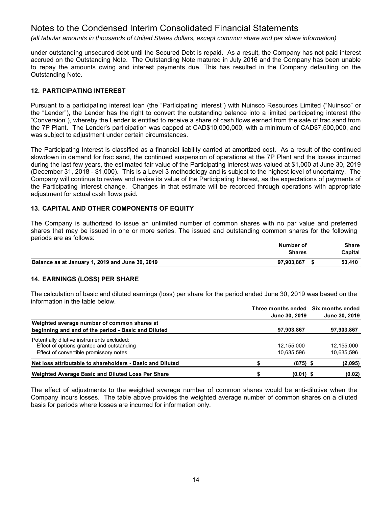*(all tabular amounts in thousands of United States dollars, except common share and per share information)*

under outstanding unsecured debt until the Secured Debt is repaid. As a result, the Company has not paid interest accrued on the Outstanding Note. The Outstanding Note matured in July 2016 and the Company has been unable to repay the amounts owing and interest payments due. This has resulted in the Company defaulting on the Outstanding Note.

# **12. PARTICIPATING INTEREST**

Pursuant to a participating interest loan (the "Participating Interest") with Nuinsco Resources Limited ("Nuinsco" or the "Lender"), the Lender has the right to convert the outstanding balance into a limited participating interest (the "Conversion"), whereby the Lender is entitled to receive a share of cash flows earned from the sale of frac sand from the 7P Plant. The Lender's participation was capped at CAD\$10,000,000, with a minimum of CAD\$7,500,000, and was subject to adjustment under certain circumstances.

The Participating Interest is classified as a financial liability carried at amortized cost. As a result of the continued slowdown in demand for frac sand, the continued suspension of operations at the 7P Plant and the losses incurred during the last few years, the estimated fair value of the Participating Interest was valued at \$1,000 at June 30, 2019 (December 31, 2018 - \$1,000). This is a Level 3 methodology and is subject to the highest level of uncertainty. The Company will continue to review and revise its value of the Participating Interest, as the expectations of payments of the Participating Interest change. Changes in that estimate will be recorded through operations with appropriate adjustment for actual cash flows paid**.** 

# **13. CAPITAL AND OTHER COMPONENTS OF EQUITY**

The Company is authorized to issue an unlimited number of common shares with no par value and preferred shares that may be issued in one or more series. The issued and outstanding common shares for the following periods are as follows:

|                                                 | Number of     | Share   |
|-------------------------------------------------|---------------|---------|
|                                                 | <b>Shares</b> | Capital |
| Balance as at January 1, 2019 and June 30, 2019 | 97.903.867    | 53.410  |

# **14. EARNINGS (LOSS) PER SHARE**

The calculation of basic and diluted earnings (loss) per share for the period ended June 30, 2019 was based on the information in the table below.

|                                                           |               | Three months ended Six months ended |
|-----------------------------------------------------------|---------------|-------------------------------------|
|                                                           | June 30, 2019 | June 30, 2019                       |
| Weighted average number of common shares at               |               |                                     |
| beginning and end of the period - Basic and Diluted       | 97,903,867    | 97,903,867                          |
| Potentially dilutive instruments excluded:                |               |                                     |
| Effect of options granted and outstanding                 | 12.155.000    | 12,155,000                          |
| Effect of convertible promissory notes                    | 10,635,596    | 10,635,596                          |
| Net loss attributable to shareholders - Basic and Diluted | $(875)$ \$    | (2,095)                             |
| Weighted Average Basic and Diluted Loss Per Share         | $(0.01)$ \$   | (0.02)                              |

The effect of adjustments to the weighted average number of common shares would be anti-dilutive when the Company incurs losses. The table above provides the weighted average number of common shares on a diluted basis for periods where losses are incurred for information only.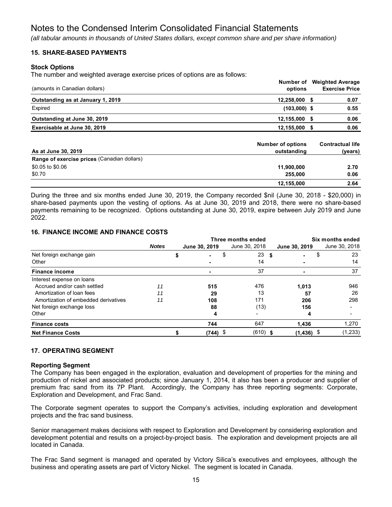*(all tabular amounts in thousands of United States dollars, except common share and per share information)*

# **15. SHARE-BASED PAYMENTS**

### **Stock Options**

The number and weighted average exercise prices of options are as follows:

| (amounts in Canadian dollars)               | Number of<br>options                    |      | <b>Weighted Average</b><br><b>Exercise Price</b> |
|---------------------------------------------|-----------------------------------------|------|--------------------------------------------------|
| Outstanding as at January 1, 2019           | 12,258,000 \$                           |      | 0.07                                             |
| Expired                                     | $(103,000)$ \$                          |      | 0.55                                             |
| Outstanding at June 30, 2019                | 12,155,000                              | - 55 | 0.06                                             |
| Exercisable at June 30, 2019                | 12,155,000 \$                           |      | 0.06                                             |
| As at June 30, 2019                         | <b>Number of options</b><br>outstanding |      | <b>Contractual life</b><br>(years)               |
| Range of exercise prices (Canadian dollars) |                                         |      |                                                  |
| \$0.05 to \$0.06                            | 11,900,000                              |      | 2.70                                             |
| \$0.70                                      | 255,000                                 |      | 0.06                                             |
|                                             | 12,155,000                              |      | 2.64                                             |

During the three and six months ended June 30, 2019, the Company recorded \$nil (June 30, 2018 - \$20,000) in share-based payments upon the vesting of options. As at June 30, 2019 and 2018, there were no share-based payments remaining to be recognized. Options outstanding at June 30, 2019, expire between July 2019 and June 2022.

# **16. FINANCE INCOME AND FINANCE COSTS**

|                                      |              |                | Three months ended | Six months ended |                |  |               |  |
|--------------------------------------|--------------|----------------|--------------------|------------------|----------------|--|---------------|--|
|                                      | <b>Notes</b> | June 30, 2019  | June 30, 2018      |                  | June 30, 2019  |  | June 30, 2018 |  |
| Net foreign exchange gain            |              | $\blacksquare$ | \$<br>23           | -\$              | $\blacksquare$ |  | 23            |  |
| Other                                |              |                | 14                 |                  |                |  | 14            |  |
| <b>Finance income</b>                |              |                | 37                 |                  | ۰              |  | 37            |  |
| Interest expense on loans            |              |                |                    |                  |                |  |               |  |
| Accrued and/or cash settled          | 11           | 515            | 476                |                  | 1,013          |  | 946           |  |
| Amortization of loan fees            | 11           | 29             | 13                 |                  | 57             |  | 26            |  |
| Amortization of embedded derivatives | 11           | 108            | 171                |                  | 206            |  | 298           |  |
| Net foreign exchange loss            |              | 88             | (13)               |                  | 156            |  | -             |  |
| Other                                |              | 4              |                    |                  | 4              |  | ۰             |  |
| <b>Finance costs</b>                 |              | 744            | 647                |                  | 1.436          |  | 1,270         |  |
| <b>Net Finance Costs</b>             |              | $(744)$ \$     | $(610)$ \$         |                  | (1, 436)       |  | (1, 233)      |  |

### **17. OPERATING SEGMENT**

### **Reporting Segment**

The Company has been engaged in the exploration, evaluation and development of properties for the mining and production of nickel and associated products; since January 1, 2014, it also has been a producer and supplier of premium frac sand from its 7P Plant. Accordingly, the Company has three reporting segments: Corporate, Exploration and Development, and Frac Sand.

The Corporate segment operates to support the Company's activities, including exploration and development projects and the frac sand business.

Senior management makes decisions with respect to Exploration and Development by considering exploration and development potential and results on a project-by-project basis. The exploration and development projects are all located in Canada.

The Frac Sand segment is managed and operated by Victory Silica's executives and employees, although the business and operating assets are part of Victory Nickel. The segment is located in Canada.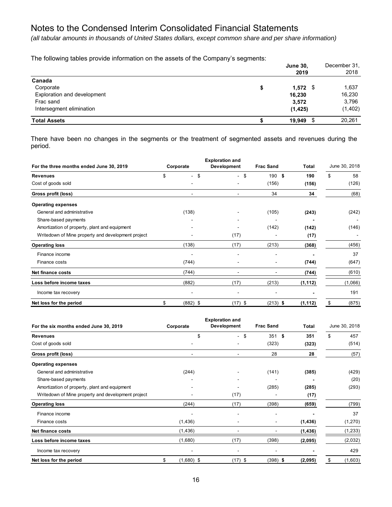*(all tabular amounts in thousands of United States dollars, except common share and per share information)*

The following tables provide information on the assets of the Company's segments:

|                             | <b>June 30,</b><br>2019 | December 31,<br>2018 |
|-----------------------------|-------------------------|----------------------|
| Canada                      |                         |                      |
| Corporate                   | \$<br>$1,572$ \$        | 1,637                |
| Exploration and development | 16,230                  | 16,230               |
| Frac sand                   | 3,572                   | 3,796                |
| Intersegment elimination    | (1, 425)                | (1, 402)             |
| <b>Total Assets</b>         | S<br>19.949             | 20,261               |

There have been no changes in the segments or the treatment of segmented assets and revenues during the period.

|                                                    |                  | <b>Exploration and</b> |                  |          |               |  |  |
|----------------------------------------------------|------------------|------------------------|------------------|----------|---------------|--|--|
| For the three months ended June 30, 2019           | Corporate        | Development            | <b>Frac Sand</b> | Total    | June 30, 2018 |  |  |
| <b>Revenues</b>                                    | \$<br>$-$ \$     | \$<br>$\sim$           | 190S             | 190      | \$<br>58      |  |  |
| Cost of goods sold                                 |                  |                        | (156)            | (156)    | (126)         |  |  |
| Gross profit (loss)                                | ٠                | ٠                      | 34               | 34       | (68)          |  |  |
| <b>Operating expenses</b>                          |                  |                        |                  |          |               |  |  |
| General and administrative                         | (138)            |                        | (105)            | (243)    | (242)         |  |  |
| Share-based payments                               |                  |                        |                  |          |               |  |  |
| Amortization of property, plant and equipment      |                  |                        | (142)            | (142)    | (146)         |  |  |
| Writedown of Mine property and development project |                  | (17)                   |                  | (17)     |               |  |  |
| <b>Operating loss</b>                              | (138)            | (17)                   | (213)            | (368)    | (456)         |  |  |
| Finance income                                     |                  |                        |                  |          | 37            |  |  |
| Finance costs                                      | (744)            |                        |                  | (744)    | (647)         |  |  |
| <b>Net finance costs</b>                           | (744)            |                        |                  | (744)    | (610)         |  |  |
| Loss before income taxes                           | (882)            | (17)                   | (213)            | (1, 112) | (1,066)       |  |  |
| Income tax recovery                                |                  |                        |                  |          | 191           |  |  |
| Net loss for the period                            | \$<br>$(882)$ \$ | (17) \$                | $(213)$ \$       | (1, 112) | (875)<br>\$   |  |  |

|                                                    |    |                          | <b>Exploration and</b>   |    |                  |          |               |          |  |
|----------------------------------------------------|----|--------------------------|--------------------------|----|------------------|----------|---------------|----------|--|
| For the six months ended June 30, 2019             |    | Development<br>Corporate |                          |    | <b>Frac Sand</b> | Total    | June 30, 2018 |          |  |
| <b>Revenues</b>                                    |    | \$                       | $\overline{\phantom{0}}$ | \$ | 351S             | 351      | \$            | 457      |  |
| Cost of goods sold                                 |    |                          |                          |    | (323)            | (323)    |               | (514)    |  |
| Gross profit (loss)                                |    | $\blacksquare$           |                          |    | 28               | 28       |               | (57)     |  |
| <b>Operating expenses</b>                          |    |                          |                          |    |                  |          |               |          |  |
| General and administrative                         |    | (244)                    |                          |    | (141)            | (385)    |               | (429)    |  |
| Share-based payments                               |    |                          |                          |    |                  |          |               | (20)     |  |
| Amortization of property, plant and equipment      |    |                          |                          |    | (285)            | (285)    |               | (293)    |  |
| Writedown of Mine property and development project |    |                          | (17)                     |    |                  | (17)     |               |          |  |
| <b>Operating loss</b>                              |    | (244)                    | (17)                     |    | (398)            | (659)    |               | (799)    |  |
| Finance income                                     |    |                          |                          |    |                  |          |               | 37       |  |
| Finance costs                                      |    | (1, 436)                 |                          |    |                  | (1, 436) |               | (1,270)  |  |
| Net finance costs                                  |    | (1, 436)                 |                          |    |                  | (1, 436) |               | (1, 233) |  |
| Loss before income taxes                           |    | (1,680)                  | (17)                     |    | (398)            | (2,095)  |               | (2,032)  |  |
| Income tax recovery                                |    | $\blacksquare$           |                          |    |                  |          |               | 429      |  |
| Net loss for the period                            | \$ | $(1,680)$ \$             | (17) \$                  |    | $(398)$ \$       | (2,095)  | \$            | (1,603)  |  |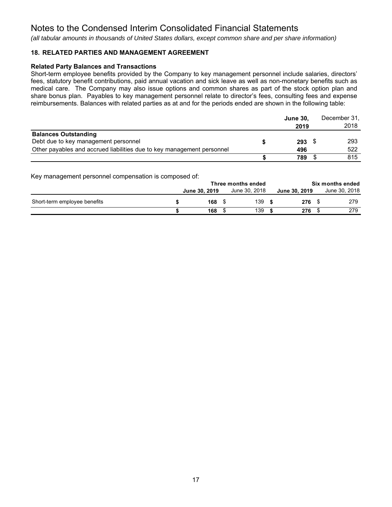*(all tabular amounts in thousands of United States dollars, except common share and per share information)*

# **18. RELATED PARTIES AND MANAGEMENT AGREEMENT**

# **Related Party Balances and Transactions**

Short-term employee benefits provided by the Company to key management personnel include salaries, directors' fees, statutory benefit contributions, paid annual vacation and sick leave as well as non-monetary benefits such as medical care. The Company may also issue options and common shares as part of the stock option plan and share bonus plan. Payables to key management personnel relate to director's fees, consulting fees and expense reimbursements. Balances with related parties as at and for the periods ended are shown in the following table:

|                                                                        | <b>June 30,</b><br>2019 | December 31.<br>2018 |
|------------------------------------------------------------------------|-------------------------|----------------------|
| <b>Balances Outstanding</b>                                            |                         |                      |
| Debt due to key management personnel                                   | $293$ \$                | 293                  |
| Other payables and accrued liabilities due to key management personnel | 496                     | 522                  |
|                                                                        | 789                     | 815                  |

Key management personnel compensation is composed of:

|                              | Three months ended |               |  |               |  | Six months ended |  |               |  |  |
|------------------------------|--------------------|---------------|--|---------------|--|------------------|--|---------------|--|--|
|                              |                    | June 30, 2019 |  | June 30, 2018 |  | June 30, 2019    |  | June 30, 2018 |  |  |
| Short-term employee benefits |                    | 168 \$        |  | 139           |  | 276              |  | 279           |  |  |
|                              |                    | 168           |  | 139           |  | 276              |  | 279           |  |  |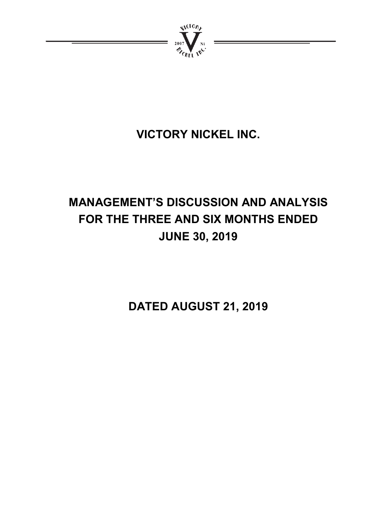

# **VICTORY NICKEL INC.**

# **MANAGEMENT'S DISCUSSION AND ANALYSIS FOR THE THREE AND SIX MONTHS ENDED JUNE 30, 2019**

**DATED AUGUST 21, 2019**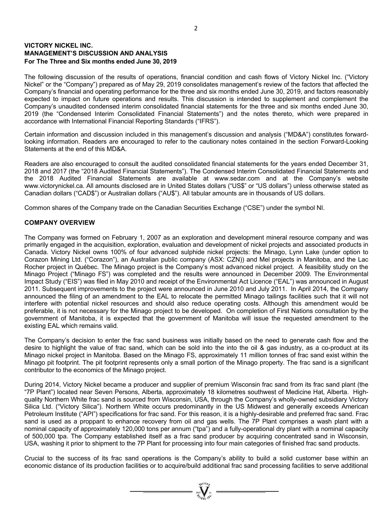# **VICTORY NICKEL INC. MANAGEMENT'S DISCUSSION AND ANALYSIS For The Three and Six months ended June 30, 2019**

The following discussion of the results of operations, financial condition and cash flows of Victory Nickel Inc. ("Victory Nickel" or the "Company") prepared as of May 29, 2019 consolidates management's review of the factors that affected the Company's financial and operating performance for the three and six months ended June 30, 2019, and factors reasonably expected to impact on future operations and results. This discussion is intended to supplement and complement the Company's unaudited condensed interim consolidated financial statements for the three and six months ended June 30, 2019 (the "Condensed Interim Consolidated Financial Statements") and the notes thereto, which were prepared in accordance with International Financial Reporting Standards ("IFRS").

Certain information and discussion included in this management's discussion and analysis ("MD&A") constitutes forwardlooking information. Readers are encouraged to refer to the cautionary notes contained in the section Forward-Looking Statements at the end of this MD&A.

Readers are also encouraged to consult the audited consolidated financial statements for the years ended December 31, 2018 and 2017 (the "2018 Audited Financial Statements"). The Condensed Interim Consolidated Financial Statements and the 2018 Audited Financial Statements are available at www.sedar.com and at the Company's website www.victorynickel.ca. All amounts disclosed are in United States dollars ("US\$" or "US dollars") unless otherwise stated as Canadian dollars ("CAD\$") or Australian dollars ("AU\$"). All tabular amounts are in thousands of US dollars.

Common shares of the Company trade on the Canadian Securities Exchange ("CSE") under the symbol NI.

# **COMPANY OVERVIEW**

The Company was formed on February 1, 2007 as an exploration and development mineral resource company and was primarily engaged in the acquisition, exploration, evaluation and development of nickel projects and associated products in Canada. Victory Nickel owns 100% of four advanced sulphide nickel projects: the Minago, Lynn Lake (under option to Corazon Mining Ltd. ("Corazon"), an Australian public company (ASX: CZN)) and Mel projects in Manitoba, and the Lac Rocher project in Québec. The Minago project is the Company's most advanced nickel project. A feasibility study on the Minago Project ("Minago FS") was completed and the results were announced in December 2009. The Environmental Impact Study ("EIS") was filed in May 2010 and receipt of the Environmental Act Licence ("EAL") was announced in August 2011. Subsequent improvements to the project were announced in June 2010 and July 2011. In April 2014, the Company announced the filing of an amendment to the EAL to relocate the permitted Minago tailings facilities such that it will not interfere with potential nickel resources and should also reduce operating costs. Although this amendment would be preferable, it is not necessary for the Minago project to be developed. On completion of First Nations consultation by the government of Manitoba, it is expected that the government of Manitoba will issue the requested amendment to the existing EAL which remains valid.

The Company's decision to enter the frac sand business was initially based on the need to generate cash flow and the desire to highlight the value of frac sand, which can be sold into the into the oil & gas industry, as a co-product at its Minago nickel project in Manitoba. Based on the Minago FS, approximately 11 million tonnes of frac sand exist within the Minago pit footprint. The pit footprint represents only a small portion of the Minago property. The frac sand is a significant contributor to the economics of the Minago project.

During 2014, Victory Nickel became a producer and supplier of premium Wisconsin frac sand from its frac sand plant (the "7P Plant") located near Seven Persons, Alberta, approximately 18 kilometres southwest of Medicine Hat, Alberta. Highquality Northern White frac sand is sourced from Wisconsin, USA, through the Company's wholly-owned subsidiary Victory Silica Ltd. ("Victory Silica"). Northern White occurs predominantly in the US Midwest and generally exceeds American Petroleum Institute ("API") specifications for frac sand. For this reason, it is a highly-desirable and preferred frac sand. Frac sand is used as a proppant to enhance recovery from oil and gas wells. The 7P Plant comprises a wash plant with a nominal capacity of approximately 120,000 tons per annum ("tpa") and a fully-operational dry plant with a nominal capacity of 500,000 tpa. The Company established itself as a frac sand producer by acquiring concentrated sand in Wisconsin, USA, washing it prior to shipment to the 7P Plant for processing into four main categories of finished frac sand products.

Crucial to the success of its frac sand operations is the Company's ability to build a solid customer base within an economic distance of its production facilities or to acquire/build additional frac sand processing facilities to serve additional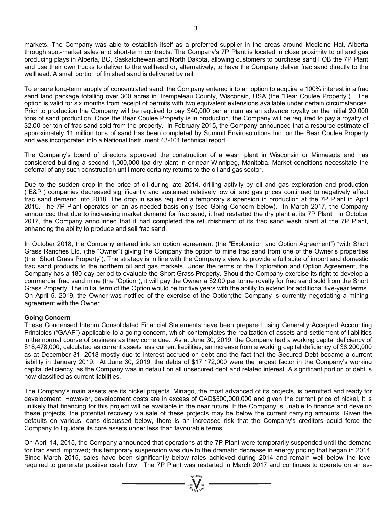markets. The Company was able to establish itself as a preferred supplier in the areas around Medicine Hat, Alberta through spot-market sales and short-term contracts. The Company's 7P Plant is located in close proximity to oil and gas producing plays in Alberta, BC, Saskatchewan and North Dakota, allowing customers to purchase sand FOB the 7P Plant and use their own trucks to deliver to the wellhead or, alternatively, to have the Company deliver frac sand directly to the wellhead. A small portion of finished sand is delivered by rail.

To ensure long-term supply of concentrated sand, the Company entered into an option to acquire a 100% interest in a frac sand land package totalling over 300 acres in Trempeleau County, Wisconsin, USA (the "Bear Coulee Property"). The option is valid for six months from receipt of permits with two equivalent extensions available under certain circumstances. Prior to production the Company will be required to pay \$40,000 per annum as an advance royalty on the initial 20,000 tons of sand production. Once the Bear Coulee Property is in production, the Company will be required to pay a royalty of \$2.00 per ton of frac sand sold from the property. In February 2015, the Company announced that a resource estimate of approximately 11 million tons of sand has been completed by Summit Envirosolutions Inc. on the Bear Coulee Property and was incorporated into a National Instrument 43-101 technical report.

The Company's board of directors approved the construction of a wash plant in Wisconsin or Minnesota and has considered building a second 1,000,000 tpa dry plant in or near Winnipeg, Manitoba. Market conditions necessitate the deferral of any such construction until more certainty returns to the oil and gas sector.

Due to the sudden drop in the price of oil during late 2014, drilling activity by oil and gas exploration and production ("E&P") companies decreased significantly and sustained relatively low oil and gas prices continued to negatively affect frac sand demand into 2018. The drop in sales required a temporary suspension in production at the 7P Plant in April 2015. The 7P Plant operates on an as-needed basis only (see Going Concern below). In March 2017, the Company announced that due to increasing market demand for frac sand, it had restarted the dry plant at its 7P Plant. In October 2017, the Company announced that it had completed the refurbishment of its frac sand wash plant at the 7P Plant, enhancing the ability to produce and sell frac sand.

In October 2018, the Company entered into an option agreement (the "Exploration and Option Agreement") "with Short Grass Ranches Ltd. (the "Owner") giving the Company the option to mine frac sand from one of the Owner's properties (the "Short Grass Property"). The strategy is in line with the Company's view to provide a full suite of import and domestic frac sand products to the northern oil and gas markets. Under the terms of the Exploration and Option Agreement, the Company has a 180-day period to evaluate the Short Grass Property. Should the Company exercise its right to develop a commercial frac sand mine (the "Option"), it will pay the Owner a \$2.00 per tonne royalty for frac sand sold from the Short Grass Property. The initial term of the Option would be for five years with the ability to extend for additional five-year terms. On April 5, 2019, the Owner was notified of the exercise of the Option;the Company is currently negotiating a mining agreement with the Owner.

# **Going Concern**

These Condensed Interim Consolidated Financial Statements have been prepared using Generally Accepted Accounting Principles ("GAAP") applicable to a going concern, which contemplates the realization of assets and settlement of liabilities in the normal course of business as they come due. As at June 30, 2019, the Company had a working capital deficiency of \$18,478,000, calculated as current assets less current liabilities, an increase from a working capital deficiency of \$8,200,000 as at December 31, 2018 mostly due to interest accrued on debt and the fact that the Secured Debt became a current liability in January 2019. At June 30, 2019, the debts of \$17,172,000 were the largest factor in the Company's working capital deficiency, as the Company was in default on all unsecured debt and related interest. A significant portion of debt is now classified as current liabilities.

The Company's main assets are its nickel projects. Minago, the most advanced of its projects, is permitted and ready for development. However, development costs are in excess of CAD\$500,000,000 and given the current price of nickel, it is unlikely that financing for this project will be available in the near future. If the Company is unable to finance and develop these projects, the potential recovery via sale of these projects may be below the current carrying amounts. Given the defaults on various loans discussed below, there is an increased risk that the Company's creditors could force the Company to liquidate its core assets under less than favourable terms.

On April 14, 2015, the Company announced that operations at the 7P Plant were temporarily suspended until the demand for frac sand improved; this temporary suspension was due to the dramatic decrease in energy pricing that began in 2014. Since March 2015, sales have been significantly below rates achieved during 2014 and remain well below the level required to generate positive cash flow. The 7P Plant was restarted in March 2017 and continues to operate on an as-

 $\sum_{i=1}^{n} \sum_{j=1}^{n} \sum_{j=1}^{n}$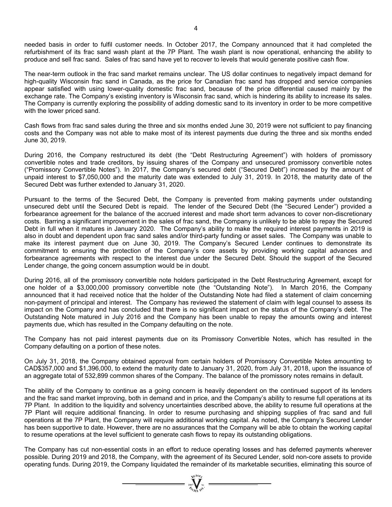needed basis in order to fulfil customer needs. In October 2017, the Company announced that it had completed the refurbishment of its frac sand wash plant at the 7P Plant. The wash plant is now operational, enhancing the ability to produce and sell frac sand. Sales of frac sand have yet to recover to levels that would generate positive cash flow.

The near-term outlook in the frac sand market remains unclear. The US dollar continues to negatively impact demand for high-quality Wisconsin frac sand in Canada, as the price for Canadian frac sand has dropped and service companies appear satisfied with using lower-quality domestic frac sand, because of the price differential caused mainly by the exchange rate. The Company's existing inventory is Wisconsin frac sand, which is hindering its ability to increase its sales. The Company is currently exploring the possibility of adding domestic sand to its inventory in order to be more competitive with the lower priced sand.

Cash flows from frac sand sales during the three and six months ended June 30, 2019 were not sufficient to pay financing costs and the Company was not able to make most of its interest payments due during the three and six months ended June 30, 2019.

During 2016, the Company restructured its debt (the "Debt Restructuring Agreement") with holders of promissory convertible notes and trade creditors, by issuing shares of the Company and unsecured promissory convertible notes ("Promissory Convertible Notes"). In 2017, the Company's secured debt ("Secured Debt") increased by the amount of unpaid interest to \$7,050,000 and the maturity date was extended to July 31, 2019. In 2018, the maturity date of the Secured Debt was further extended to January 31, 2020.

Pursuant to the terms of the Secured Debt, the Company is prevented from making payments under outstanding unsecured debt until the Secured Debt is repaid. The lender of the Secured Debt (the "Secured Lender") provided a forbearance agreement for the balance of the accrued interest and made short term advances to cover non-discretionary costs. Barring a significant improvement in the sales of frac sand, the Company is unlikely to be able to repay the Secured Debt in full when it matures in January 2020. The Company's ability to make the required interest payments in 2019 is also in doubt and dependent upon frac sand sales and/or third-party funding or asset sales. The Company was unable to make its interest payment due on June 30, 2019. The Company's Secured Lender continues to demonstrate its commitment to ensuring the protection of the Company's core assets by providing working capital advances and forbearance agreements with respect to the interest due under the Secured Debt. Should the support of the Secured Lender change, the going concern assumption would be in doubt.

During 2016, all of the promissory convertible note holders participated in the Debt Restructuring Agreement, except for one holder of a \$3,000,000 promissory convertible note (the "Outstanding Note"). In March 2016, the Company announced that it had received notice that the holder of the Outstanding Note had filed a statement of claim concerning non-payment of principal and interest. The Company has reviewed the statement of claim with legal counsel to assess its impact on the Company and has concluded that there is no significant impact on the status of the Company's debt. The Outstanding Note matured in July 2016 and the Company has been unable to repay the amounts owing and interest payments due, which has resulted in the Company defaulting on the note.

The Company has not paid interest payments due on its Promissory Convertible Notes, which has resulted in the Company defaulting on a portion of these notes.

On July 31, 2018, the Company obtained approval from certain holders of Promissory Convertible Notes amounting to CAD\$357,000 and \$1,396,000, to extend the maturity date to January 31, 2020, from July 31, 2018, upon the issuance of an aggregate total of 532,899 common shares of the Company. The balance of the promissory notes remains in default.

The ability of the Company to continue as a going concern is heavily dependent on the continued support of its lenders and the frac sand market improving, both in demand and in price, and the Company's ability to resume full operations at its 7P Plant. In addition to the liquidity and solvency uncertainties described above, the ability to resume full operations at the 7P Plant will require additional financing. In order to resume purchasing and shipping supplies of frac sand and full operations at the 7P Plant, the Company will require additional working capital. As noted, the Company's Secured Lender has been supportive to date. However, there are no assurances that the Company will be able to obtain the working capital to resume operations at the level sufficient to generate cash flows to repay its outstanding obligations.

The Company has cut non-essential costs in an effort to reduce operating losses and has deferred payments wherever possible. During 2019 and 2018, the Company, with the agreement of its Secured Lender, sold non-core assets to provide operating funds. During 2019, the Company liquidated the remainder of its marketable securities, eliminating this source of

 $=\prod_{\substack{n=1\\ \text{odd }n}}^{\infty}$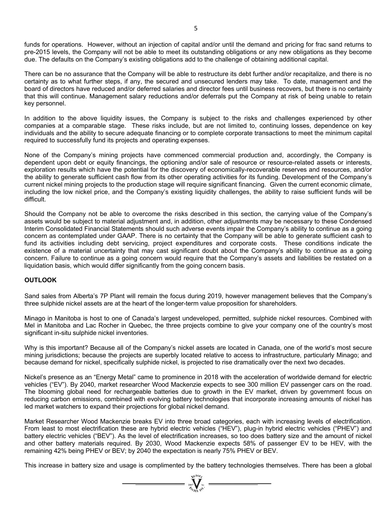funds for operations. However, without an injection of capital and/or until the demand and pricing for frac sand returns to pre-2015 levels, the Company will not be able to meet its outstanding obligations or any new obligations as they become due. The defaults on the Company's existing obligations add to the challenge of obtaining additional capital.

There can be no assurance that the Company will be able to restructure its debt further and/or recapitalize, and there is no certainty as to what further steps, if any, the secured and unsecured lenders may take. To date, management and the board of directors have reduced and/or deferred salaries and director fees until business recovers, but there is no certainty that this will continue. Management salary reductions and/or deferrals put the Company at risk of being unable to retain key personnel.

In addition to the above liquidity issues, the Company is subject to the risks and challenges experienced by other companies at a comparable stage. These risks include, but are not limited to, continuing losses, dependence on key individuals and the ability to secure adequate financing or to complete corporate transactions to meet the minimum capital required to successfully fund its projects and operating expenses.

None of the Company's mining projects have commenced commercial production and, accordingly, the Company is dependent upon debt or equity financings, the optioning and/or sale of resource or resource-related assets or interests, exploration results which have the potential for the discovery of economically-recoverable reserves and resources, and/or the ability to generate sufficient cash flow from its other operating activities for its funding. Development of the Company's current nickel mining projects to the production stage will require significant financing. Given the current economic climate, including the low nickel price, and the Company's existing liquidity challenges, the ability to raise sufficient funds will be difficult.

Should the Company not be able to overcome the risks described in this section, the carrying value of the Company's assets would be subject to material adjustment and, in addition, other adjustments may be necessary to these Condensed Interim Consolidated Financial Statements should such adverse events impair the Company's ability to continue as a going concern as contemplated under GAAP. There is no certainty that the Company will be able to generate sufficient cash to fund its activities including debt servicing, project expenditures and corporate costs. These conditions indicate the existence of a material uncertainty that may cast significant doubt about the Company's ability to continue as a going concern. Failure to continue as a going concern would require that the Company's assets and liabilities be restated on a liquidation basis, which would differ significantly from the going concern basis.

# **OUTLOOK**

Sand sales from Alberta's 7P Plant will remain the focus during 2019, however management believes that the Company's three sulphide nickel assets are at the heart of the longer-term value proposition for shareholders.

Minago in Manitoba is host to one of Canada's largest undeveloped, permitted, sulphide nickel resources. Combined with Mel in Manitoba and Lac Rocher in Quebec, the three projects combine to give your company one of the country's most significant in-situ sulphide nickel inventories.

Why is this important? Because all of the Company's nickel assets are located in Canada, one of the world's most secure mining jurisdictions; because the projects are superbly located relative to access to infrastructure, particularly Minago; and because demand for nickel, specifically sulphide nickel, is projected to rise dramatically over the next two decades.

Nickel's presence as an "Energy Metal" came to prominence in 2018 with the acceleration of worldwide demand for electric vehicles ("EV"). By 2040, market researcher Wood Mackenzie expects to see 300 million EV passenger cars on the road. The blooming global need for rechargeable batteries due to growth in the EV market, driven by government focus on reducing carbon emissions, combined with evolving battery technologies that incorporate increasing amounts of nickel has led market watchers to expand their projections for global nickel demand.

Market Researcher Wood Mackenzie breaks EV into three broad categories, each with increasing levels of electrification. From least to most electrification these are hybrid electric vehicles ("HEV"), plug-in hybrid electric vehicles ("PHEV") and battery electric vehicles ("BEV"). As the level of electrification increases, so too does battery size and the amount of nickel and other battery materials required. By 2030, Wood Mackenzie expects 58% of passenger EV to be HEV, with the remaining 42% being PHEV or BEV; by 2040 the expectation is nearly 75% PHEV or BEV.

This increase in battery size and usage is complimented by the battery technologies themselves. There has been a global

 $= \prod_{i=1}^{N} \sum_{i=1}^{N}$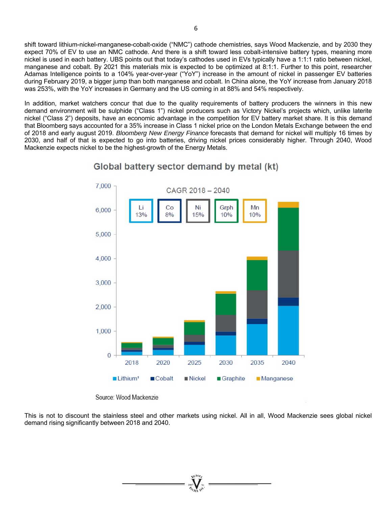shift toward lithium-nickel-manganese-cobalt-oxide ("NMC") cathode chemistries, says Wood Mackenzie, and by 2030 they expect 70% of EV to use an NMC cathode. And there is a shift toward less cobalt-intensive battery types, meaning more nickel is used in each battery. UBS points out that today's cathodes used in EVs typically have a 1:1:1 ratio between nickel, manganese and cobalt. By 2021 this materials mix is expected to be optimized at 8:1:1. Further to this point, researcher Adamas Intelligence points to a 104% year-over-year ("YoY") increase in the amount of nickel in passenger EV batteries during February 2019, a bigger jump than both manganese and cobalt. In China alone, the YoY increase from January 2018 was 253%, with the YoY increases in Germany and the US coming in at 88% and 54% respectively.

In addition, market watchers concur that due to the quality requirements of battery producers the winners in this new demand environment will be sulphide ("Class 1") nickel producers such as Victory Nickel's projects which, unlike laterite nickel ("Class 2") deposits, have an economic advantage in the competition for EV battery market share. It is this demand that Bloomberg says accounted for a 35% increase in Class 1 nickel price on the London Metals Exchange between the end of 2018 and early august 2019. *Bloomberg New Energy Finance* forecasts that demand for nickel will multiply 16 times by 2030, and half of that is expected to go into batteries, driving nickel prices considerably higher. Through 2040, Wood Mackenzie expects nickel to be the highest-growth of the Energy Metals.



# Global battery sector demand by metal (kt)

Source: Wood Mackenzie

This is not to discount the stainless steel and other markets using nickel. All in all, Wood Mackenzie sees global nickel demand rising significantly between 2018 and 2040.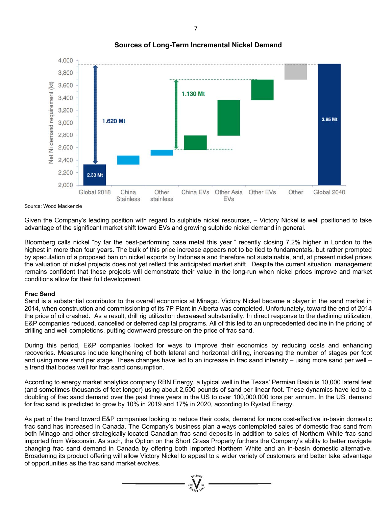

# **Sources of Long-Term Incremental Nickel Demand**

Source: Wood Mackenzie

Given the Company's leading position with regard to sulphide nickel resources, – Victory Nickel is well positioned to take advantage of the significant market shift toward EVs and growing sulphide nickel demand in general.

Bloomberg calls nickel "by far the best-performing base metal this year," recently closing 7.2% higher in London to the highest in more than four years. The bulk of this price increase appears not to be tied to fundamentals, but rather prompted by speculation of a proposed ban on nickel exports by Indonesia and therefore not sustainable, and, at present nickel prices the valuation of nickel projects does not yet reflect this anticipated market shift. Despite the current situation, management remains confident that these projects will demonstrate their value in the long-run when nickel prices improve and market conditions allow for their full development.

### **Frac Sand**

Sand is a substantial contributor to the overall economics at Minago. Victory Nickel became a player in the sand market in 2014, when construction and commissioning of its 7P Plant in Alberta was completed. Unfortunately, toward the end of 2014 the price of oil crashed. As a result, drill rig utilization decreased substantially. In direct response to the declining utilization, E&P companies reduced, cancelled or deferred capital programs. All of this led to an unprecedented decline in the pricing of drilling and well completions, putting downward pressure on the price of frac sand.

During this period, E&P companies looked for ways to improve their economics by reducing costs and enhancing recoveries. Measures include lengthening of both lateral and horizontal drilling, increasing the number of stages per foot and using more sand per stage. These changes have led to an increase in frac sand intensity – using more sand per well – a trend that bodes well for frac sand consumption.

According to energy market analytics company RBN Energy, a typical well in the Texas' Permian Basin is 10,000 lateral feet (and sometimes thousands of feet longer) using about 2,500 pounds of sand per linear foot. These dynamics have led to a doubling of frac sand demand over the past three years in the US to over 100,000,000 tons per annum. In the US, demand for frac sand is predicted to grow by 10% in 2019 and 17% in 2020, according to Rystad Energy.

As part of the trend toward E&P companies looking to reduce their costs, demand for more cost-effective in-basin domestic frac sand has increased in Canada. The Company's business plan always contemplated sales of domestic frac sand from both Minago and other strategically-located Canadian frac sand deposits in addition to sales of Northern White frac sand imported from Wisconsin. As such, the Option on the Short Grass Property furthers the Company's ability to better navigate changing frac sand demand in Canada by offering both imported Northern White and an in-basin domestic alternative. Broadening its product offering will allow Victory Nickel to appeal to a wider variety of customers and better take advantage of opportunities as the frac sand market evolves.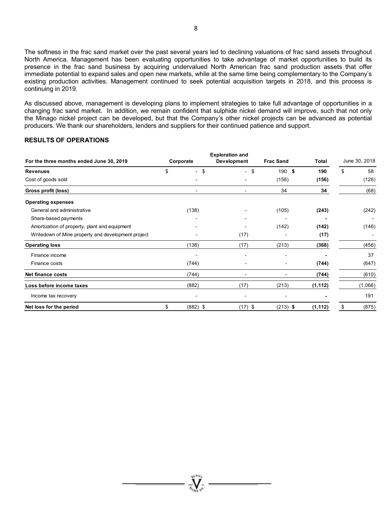The softness in the frac sand market over the past several years led to declining valuations of frac sand assets throughout North America. Management has been evaluating opportunities to take advantage of market opportunities to build its presence in the frac sand business by acquiring undervalued North American frac sand production assets that offer immediate potential to expand sales and open new markets, while at the same time being complementary to the Company's existing production activities. Management continued to seek potential acquisition targets in 2018, and this process is continuing in 2019.

As discussed above, management is developing plans to implement strategies to take full advantage of opportunities in a changing frac sand market. In addition, we remain confident that sulphide nickel demand will improve, such that not only the Minago nickel project can be developed, but that the Company's other nickel projects can be advanced as potential producers. We thank our shareholders, lenders and suppliers for their continued patience and support.

### **RESULTS OF OPERATIONS**

|                                                    |    |                | <b>Exploration and</b>         |                  |          |               |  |
|----------------------------------------------------|----|----------------|--------------------------------|------------------|----------|---------------|--|
| For the three months ended June 30, 2019           |    | Corporate      | <b>Development</b>             | <b>Frac Sand</b> | Total    | June 30, 2018 |  |
| <b>Revenues</b>                                    | \$ | $-$ \$         | \$<br>$\overline{\phantom{0}}$ | 190 \$           | 190      | \$<br>58      |  |
| Cost of goods sold                                 |    |                |                                | (156)            | (156)    | (126)         |  |
| Gross profit (loss)                                |    | $\blacksquare$ | $\overline{\phantom{a}}$       | 34               | 34       | (68)          |  |
| <b>Operating expenses</b>                          |    |                |                                |                  |          |               |  |
| General and administrative                         |    | (138)          |                                | (105)            | (243)    | (242)         |  |
| Share-based payments                               |    |                |                                |                  |          |               |  |
| Amortization of property, plant and equipment      |    |                |                                | (142)            | (142)    | (146)         |  |
| Writedown of Mine property and development project |    |                | (17)                           |                  | (17)     |               |  |
| <b>Operating loss</b>                              |    | (138)          | (17)                           | (213)            | (368)    | (456)         |  |
| Finance income                                     |    | ۰              |                                |                  |          | 37            |  |
| Finance costs                                      |    | (744)          |                                |                  | (744)    | (647)         |  |
| <b>Net finance costs</b>                           |    | (744)          |                                |                  | (744)    | (610)         |  |
| Loss before income taxes                           |    | (882)          | (17)                           | (213)            | (1, 112) | (1,066)       |  |
| Income tax recovery                                |    |                |                                |                  |          | 191           |  |
| Net loss for the period                            | \$ | $(882)$ \$     | $(17)$ \$                      | $(213)$ \$       | (1, 112) | (875)<br>\$   |  |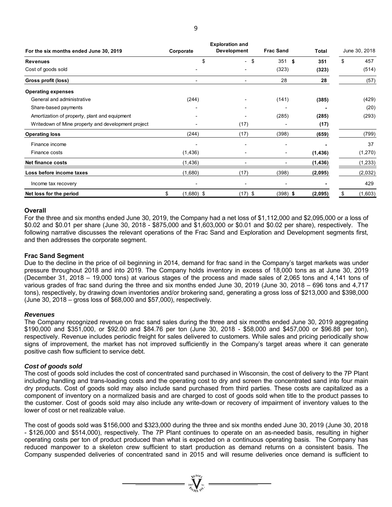|                                                    |    |              | <b>Exploration and</b>   |    |                  |          |               |
|----------------------------------------------------|----|--------------|--------------------------|----|------------------|----------|---------------|
| For the six months ended June 30, 2019             |    | Corporate    | <b>Development</b>       |    | <b>Frac Sand</b> | Total    | June 30, 2018 |
| <b>Revenues</b>                                    |    | \$           | $\overline{\phantom{0}}$ | \$ | 351S             | 351      | \$<br>457     |
| Cost of goods sold                                 |    |              |                          |    | (323)            | (323)    | (514)         |
| Gross profit (loss)                                |    |              | $\overline{\phantom{0}}$ |    | 28               | 28       | (57)          |
| <b>Operating expenses</b>                          |    |              |                          |    |                  |          |               |
| General and administrative                         |    | (244)        |                          |    | (141)            | (385)    | (429)         |
| Share-based payments                               |    |              |                          |    |                  |          | (20)          |
| Amortization of property, plant and equipment      |    |              |                          |    |                  | (285)    | (293)         |
| Writedown of Mine property and development project |    |              | (17)                     |    |                  | (17)     |               |
| <b>Operating loss</b>                              |    | (244)        | (17)                     |    | (398)            | (659)    | (799)         |
| Finance income                                     |    |              |                          |    |                  |          | 37            |
| Finance costs                                      |    | (1, 436)     |                          |    |                  | (1, 436) | (1,270)       |
| <b>Net finance costs</b>                           |    | (1, 436)     |                          |    |                  | (1, 436) | (1,233)       |
| Loss before income taxes                           |    | (1,680)      | (17)                     |    | (398)            | (2,095)  | (2,032)       |
| Income tax recovery                                |    |              |                          |    |                  |          | 429           |
| Net loss for the period                            | \$ | $(1,680)$ \$ | $(17)$ \$                |    | $(398)$ \$       | (2,095)  | \$<br>(1,603) |

#### **Overall**

For the three and six months ended June 30, 2019, the Company had a net loss of \$1,112,000 and \$2,095,000 or a loss of \$0.02 and \$0.01 per share (June 30, 2018 - \$875,000 and \$1,603,000 or \$0.01 and \$0.02 per share), respectively. The following narrative discusses the relevant operations of the Frac Sand and Exploration and Development segments first, and then addresses the corporate segment.

#### **Frac Sand Segment**

Due to the decline in the price of oil beginning in 2014, demand for frac sand in the Company's target markets was under pressure throughout 2018 and into 2019. The Company holds inventory in excess of 18,000 tons as at June 30, 2019 (December 31, 2018 – 19,000 tons) at various stages of the process and made sales of 2,065 tons and 4,141 tons of various grades of frac sand during the three and six months ended June 30, 2019 (June 30, 2018 – 696 tons and 4,717 tons), respectively, by drawing down inventories and/or brokering sand, generating a gross loss of \$213,000 and \$398,000 (June 30, 2018 – gross loss of \$68,000 and \$57,000), respectively.

#### *Revenues*

The Company recognized revenue on frac sand sales during the three and six months ended June 30, 2019 aggregating \$190,000 and \$351,000, or \$92.00 and \$84.76 per ton (June 30, 2018 - \$58,000 and \$457,000 or \$96.88 per ton), respectively. Revenue includes periodic freight for sales delivered to customers. While sales and pricing periodically show signs of improvement, the market has not improved sufficiently in the Company's target areas where it can generate positive cash flow sufficient to service debt.

### *Cost of goods sold*

The cost of goods sold includes the cost of concentrated sand purchased in Wisconsin, the cost of delivery to the 7P Plant including handling and trans-loading costs and the operating cost to dry and screen the concentrated sand into four main dry products. Cost of goods sold may also include sand purchased from third parties. These costs are capitalized as a component of inventory on a normalized basis and are charged to cost of goods sold when title to the product passes to the customer. Cost of goods sold may also include any write-down or recovery of impairment of inventory values to the lower of cost or net realizable value.

The cost of goods sold was \$156,000 and \$323,000 during the three and six months ended June 30, 2019 (June 30, 2018 - \$126,000 and \$514,000), respectively. The 7P Plant continues to operate on an as-needed basis, resulting in higher operating costs per ton of product produced than what is expected on a continuous operating basis. The Company has reduced manpower to a skeleton crew sufficient to start production as demand returns on a consistent basis. The Company suspended deliveries of concentrated sand in 2015 and will resume deliveries once demand is sufficient to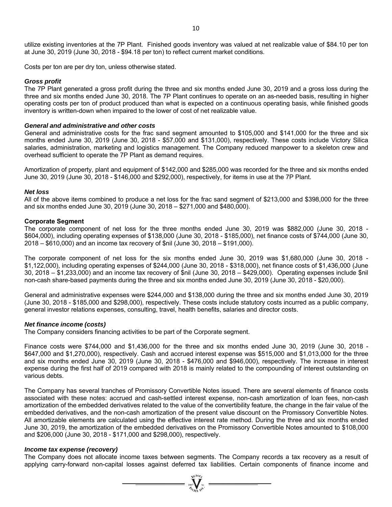utilize existing inventories at the 7P Plant. Finished goods inventory was valued at net realizable value of \$84.10 per ton at June 30, 2019 (June 30, 2018 - \$94.18 per ton) to reflect current market conditions.

Costs per ton are per dry ton, unless otherwise stated.

#### *Gross profit*

The 7P Plant generated a gross profit during the three and six months ended June 30, 2019 and a gross loss during the three and six months ended June 30, 2018. The 7P Plant continues to operate on an as-needed basis, resulting in higher operating costs per ton of product produced than what is expected on a continuous operating basis, while finished goods inventory is written-down when impaired to the lower of cost of net realizable value.

#### *General and administrative and other costs*

General and administrative costs for the frac sand segment amounted to \$105,000 and \$141,000 for the three and six months ended June 30, 2019 (June 30, 2018 - \$57,000 and \$131,000), respectively. These costs include Victory Silica salaries, administration, marketing and logistics management. The Company reduced manpower to a skeleton crew and overhead sufficient to operate the 7P Plant as demand requires.

Amortization of property, plant and equipment of \$142,000 and \$285,000 was recorded for the three and six months ended June 30, 2019 (June 30, 2018 - \$146,000 and \$292,000), respectively, for items in use at the 7P Plant.

#### *Net loss*

All of the above items combined to produce a net loss for the frac sand segment of \$213,000 and \$398,000 for the three and six months ended June 30, 2019 (June 30, 2018 – \$271,000 and \$480,000).

#### **Corporate Segment**

The corporate component of net loss for the three months ended June 30, 2019 was \$882,000 (June 30, 2018 - \$604,000), including operating expenses of \$138,000 (June 30, 2018 - \$185,000), net finance costs of \$744,000 (June 30, 2018 – \$610,000) and an income tax recovery of \$nil (June 30, 2018 – \$191,000).

The corporate component of net loss for the six months ended June 30, 2019 was \$1,680,000 (June 30, 2018 - \$1,122,000), including operating expenses of \$244,000 (June 30, 2018 - \$318,000), net finance costs of \$1,436,000 (June 30, 2018 – \$1,233,000) and an income tax recovery of \$nil (June 30, 2018 – \$429,000). Operating expenses include \$nil non-cash share-based payments during the three and six months ended June 30, 2019 (June 30, 2018 - \$20,000).

General and administrative expenses were \$244,000 and \$138,000 during the three and six months ended June 30, 2019 (June 30, 2018 - \$185,000 and \$298,000), respectively. These costs include statutory costs incurred as a public company, general investor relations expenses, consulting, travel, health benefits, salaries and director costs.

#### *Net finance income (costs)*

The Company considers financing activities to be part of the Corporate segment.

Finance costs were \$744,000 and \$1,436,000 for the three and six months ended June 30, 2019 (June 30, 2018 - \$647,000 and \$1,270,000), respectively. Cash and accrued interest expense was \$515,000 and \$1,013,000 for the three and six months ended June 30, 2019 (June 30, 2018 - \$476,000 and \$946,000), respectively. The increase in interest expense during the first half of 2019 compared with 2018 is mainly related to the compounding of interest outstanding on various debts.

The Company has several tranches of Promissory Convertible Notes issued. There are several elements of finance costs associated with these notes: accrued and cash-settled interest expense, non-cash amortization of loan fees, non-cash amortization of the embedded derivatives related to the value of the convertibility feature, the change in the fair value of the embedded derivatives, and the non-cash amortization of the present value discount on the Promissory Convertible Notes. All amortizable elements are calculated using the effective interest rate method. During the three and six months ended June 30, 2019, the amortization of the embedded derivatives on the Promissory Convertible Notes amounted to \$108,000 and \$206,000 (June 30, 2018 - \$171,000 and \$298,000), respectively.

#### *Income tax expense (recovery)*

The Company does not allocate income taxes between segments. The Company records a tax recovery as a result of applying carry-forward non-capital losses against deferred tax liabilities. Certain components of finance income and

=  $\sum_{y \in \mathcal{W}^{(n)}}^{z}$  =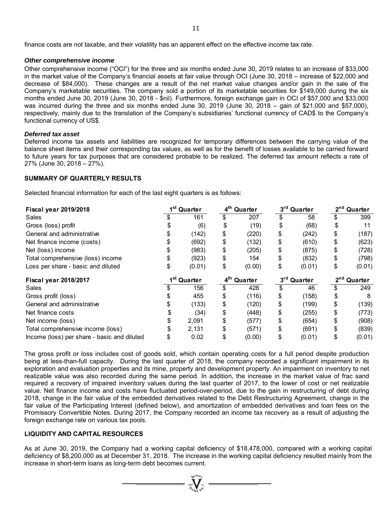finance costs are not taxable, and their volatility has an apparent effect on the effective income tax rate.

#### *Other comprehensive income*

Other comprehensive income ("OCI") for the three and six months ended June 30, 2019 relates to an increase of \$33,000 in the market value of the Company's financial assets at fair value through OCI (June 30, 2018 – increase of \$22,000 and decrease of \$84,000). These changes are a result of the net market value changes and/or gain in the sale of the Company's marketable securities. The company sold a portion of its marketable securities for \$149,000 during the six months ended June 30, 2019 (June 30, 2018 - \$nil). Furthermore, foreign exchange gain in OCI of \$57,000 and \$33,000 was incurred during the three and six months ended June 30, 2019 (June 30, 2018 – gain of \$21,000 and \$57,000), respectively, mainly due to the translation of the Company's subsidiaries' functional currency of CAD\$ to the Company's functional currency of US\$.

#### *Deferred tax asset*

Deferred income tax assets and liabilities are recognized for temporary differences between the carrying value of the balance sheet items and their corresponding tax values, as well as for the benefit of losses available to be carried forward to future years for tax purposes that are considered probable to be realized. The deferred tax amount reflects a rate of 27% (June 30, 2018 – 27%).

# **SUMMARY OF QUARTERLY RESULTS**

Selected financial information for each of the last eight quarters is as follows:

| <b>Fiscal year 2019/2018</b>                | 1 <sup>st</sup> Quarter |        | 4 <sup>th</sup> Quarter |        | 3rd Quarter             |        | 2 <sup>nd</sup> Quarter    |        |
|---------------------------------------------|-------------------------|--------|-------------------------|--------|-------------------------|--------|----------------------------|--------|
| Sales                                       |                         | 161    |                         | 207    |                         | 58     |                            | 399    |
| Gross (loss) profit                         |                         | (6)    | \$                      | (19)   | \$                      | (68)   | \$                         | 11     |
| General and administrative                  |                         | (142)  | \$                      | (220)  | \$                      | (242)  | \$                         | (187)  |
| Net finance income (costs)                  |                         | (692)  | \$                      | (132)  | \$                      | (610)  | \$                         | (623)  |
| Net (loss) income                           |                         | (983)  | \$                      | (205)  | \$                      | (875)  | \$                         | (728)  |
| Total comprehensive (loss) income           |                         | (923)  | \$                      | 154    | \$                      | (832)  | \$                         | (798)  |
| Loss per share - basic and diluted          | \$                      | (0.01) | \$                      | (0.00) | \$                      | (0.01) | \$                         | (0.01) |
| <b>Fiscal year 2018/2017</b>                | 1 <sup>st</sup> Quarter |        | 4 <sup>th</sup> Quarter |        | 3 <sup>rd</sup> Quarter |        | 2 <sup>nd</sup><br>Quarter |        |
| Sales                                       |                         | 156    | \$                      | 428    |                         | 46     |                            | 249    |
| Gross profit (loss)                         |                         | 455    | \$                      | (116)  | \$                      | (158)  | \$                         | 8      |
| General and administrative                  |                         | (133)  | \$                      | (120)  | \$                      | (199)  | \$                         | (139)  |
| Net finance costs                           |                         | (34)   | \$                      | (448)  | \$                      | (255)  | \$                         | (773)  |
| Net income (loss)                           |                         | 2,091  | \$                      | (577)  | \$                      | (654)  | \$                         | (908)  |
| Total comprehensive income (loss)           |                         | 2,131  | \$                      | (571)  | \$                      | (691)  | \$                         | (839)  |
| Income (loss) per share - basic and diluted | \$                      | 0.02   | \$                      | (0.00) | \$                      | (0.01) | \$                         | (0.01) |

The gross profit or loss includes cost of goods sold, which contain operating costs for a full period despite production being at less-than-full capacity. During the last quarter of 2018, the company recorded a significant impairment in its exploration and evaluation properties and its mine, property and development property. An impairment on inventory to net realizable value was also recorded during the same period. In addition, the increase in the market value of frac sand required a recovery of impaired inventory values during the last quarter of 2017, to the lower of cost or net realizable value. Net finance income and costs have fluctuated period-over-period, due to the gain in restructuring of debt during 2018, change in the fair value of the embedded derivatives related to the Debt Restructuring Agreement, change in the fair value of the Participating Interest (defined below), and amortization of embedded derivatives and loan fees on the Promissory Convertible Notes. During 2017, the Company recorded an income tax recovery as a result of adjusting the foreign exchange rate on various tax pools.

### **LIQUIDITY AND CAPITAL RESOURCES**

As at June 30, 2019, the Company had a working capital deficiency of \$18,478,000, compared with a working capital deficiency of \$8,200,000 as at December 31, 2018. The increase in the working capital deficiency resulted mainly from the increase in short-term loans as long-term debt becomes current.

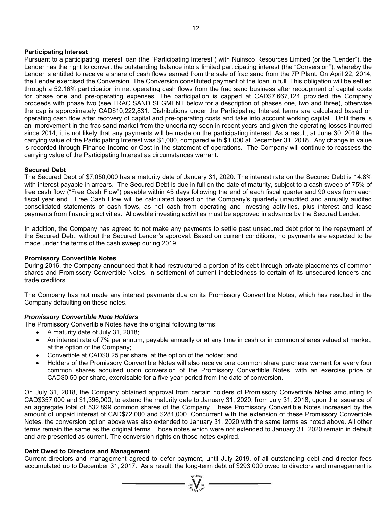### **Participating Interest**

Pursuant to a participating interest loan (the "Participating Interest") with Nuinsco Resources Limited (or the "Lender"), the Lender has the right to convert the outstanding balance into a limited participating interest (the "Conversion"), whereby the Lender is entitled to receive a share of cash flows earned from the sale of frac sand from the 7P Plant. On April 22, 2014, the Lender exercised the Conversion. The Conversion constituted payment of the loan in full. This obligation will be settled through a 52.16% participation in net operating cash flows from the frac sand business after recoupment of capital costs for phase one and pre-operating expenses. The participation is capped at CAD\$7,667,124 provided the Company proceeds with phase two (see FRAC SAND SEGMENT below for a description of phases one, two and three), otherwise the cap is approximately CAD\$10,222,831. Distributions under the Participating Interest terms are calculated based on operating cash flow after recovery of capital and pre-operating costs and take into account working capital. Until there is an improvement in the frac sand market from the uncertainty seen in recent years and given the operating losses incurred since 2014, it is not likely that any payments will be made on the participating interest. As a result, at June 30, 2019, the carrying value of the Participating Interest was \$1,000, compared with \$1,000 at December 31, 2018. Any change in value is recorded through Finance Income or Cost in the statement of operations. The Company will continue to reassess the carrying value of the Participating Interest as circumstances warrant.

### **Secured Debt**

The Secured Debt of \$7,050,000 has a maturity date of January 31, 2020. The interest rate on the Secured Debt is 14.8% with interest payable in arrears. The Secured Debt is due in full on the date of maturity, subject to a cash sweep of 75% of free cash flow ("Free Cash Flow") payable within 45 days following the end of each fiscal quarter and 90 days from each fiscal year end. Free Cash Flow will be calculated based on the Company's quarterly unaudited and annually audited consolidated statements of cash flows, as net cash from operating and investing activities, plus interest and lease payments from financing activities. Allowable investing activities must be approved in advance by the Secured Lender.

In addition, the Company has agreed to not make any payments to settle past unsecured debt prior to the repayment of the Secured Debt, without the Secured Lender's approval. Based on current conditions, no payments are expected to be made under the terms of the cash sweep during 2019.

### **Promissory Convertible Notes**

During 2016, the Company announced that it had restructured a portion of its debt through private placements of common shares and Promissory Convertible Notes, in settlement of current indebtedness to certain of its unsecured lenders and trade creditors.

The Company has not made any interest payments due on its Promissory Convertible Notes, which has resulted in the Company defaulting on these notes.

### *Promissory Convertible Note Holders*

The Promissory Convertible Notes have the original following terms:

- A maturity date of July 31, 2018;
- An interest rate of 7% per annum, payable annually or at any time in cash or in common shares valued at market, at the option of the Company;
- Convertible at CAD\$0.25 per share, at the option of the holder; and
- Holders of the Promissory Convertible Notes will also receive one common share purchase warrant for every four common shares acquired upon conversion of the Promissory Convertible Notes, with an exercise price of CAD\$0.50 per share, exercisable for a five-year period from the date of conversion.

On July 31, 2018, the Company obtained approval from certain holders of Promissory Convertible Notes amounting to CAD\$357,000 and \$1,396,000, to extend the maturity date to January 31, 2020, from July 31, 2018, upon the issuance of an aggregate total of 532,899 common shares of the Company. These Promissory Convertible Notes increased by the amount of unpaid interest of CAD\$72,000 and \$281,000. Concurrent with the extension of these Promissory Convertible Notes, the conversion option above was also extended to January 31, 2020 with the same terms as noted above. All other terms remain the same as the original terms. Those notes which were not extended to January 31, 2020 remain in default and are presented as current. The conversion rights on those notes expired.

### **Debt Owed to Directors and Management**

Current directors and management agreed to defer payment, until July 2019, of all outstanding debt and director fees accumulated up to December 31, 2017. As a result, the long-term debt of \$293,000 owed to directors and management is

 $\sum_{\alpha}$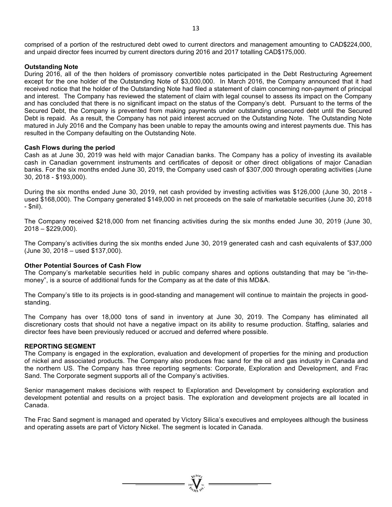comprised of a portion of the restructured debt owed to current directors and management amounting to CAD\$224,000, and unpaid director fees incurred by current directors during 2016 and 2017 totalling CAD\$175,000.

### **Outstanding Note**

During 2016, all of the then holders of promissory convertible notes participated in the Debt Restructuring Agreement except for the one holder of the Outstanding Note of \$3,000,000. In March 2016, the Company announced that it had received notice that the holder of the Outstanding Note had filed a statement of claim concerning non-payment of principal and interest. The Company has reviewed the statement of claim with legal counsel to assess its impact on the Company and has concluded that there is no significant impact on the status of the Company's debt. Pursuant to the terms of the Secured Debt, the Company is prevented from making payments under outstanding unsecured debt until the Secured Debt is repaid. As a result, the Company has not paid interest accrued on the Outstanding Note. The Outstanding Note matured in July 2016 and the Company has been unable to repay the amounts owing and interest payments due. This has resulted in the Company defaulting on the Outstanding Note.

### **Cash Flows during the period**

Cash as at June 30, 2019 was held with major Canadian banks. The Company has a policy of investing its available cash in Canadian government instruments and certificates of deposit or other direct obligations of major Canadian banks. For the six months ended June 30, 2019, the Company used cash of \$307,000 through operating activities (June 30, 2018 - \$193,000).

During the six months ended June 30, 2019, net cash provided by investing activities was \$126,000 (June 30, 2018 used \$168,000). The Company generated \$149,000 in net proceeds on the sale of marketable securities (June 30, 2018 - \$nil).

The Company received \$218,000 from net financing activities during the six months ended June 30, 2019 (June 30, 2018 – \$229,000).

The Company's activities during the six months ended June 30, 2019 generated cash and cash equivalents of \$37,000 (June 30, 2018 – used \$137,000).

### **Other Potential Sources of Cash Flow**

The Company's marketable securities held in public company shares and options outstanding that may be "in-themoney", is a source of additional funds for the Company as at the date of this MD&A.

The Company's title to its projects is in good-standing and management will continue to maintain the projects in goodstanding.

The Company has over 18,000 tons of sand in inventory at June 30, 2019. The Company has eliminated all discretionary costs that should not have a negative impact on its ability to resume production. Staffing, salaries and director fees have been previously reduced or accrued and deferred where possible.

#### **REPORTING SEGMENT**

The Company is engaged in the exploration, evaluation and development of properties for the mining and production of nickel and associated products. The Company also produces frac sand for the oil and gas industry in Canada and the northern US. The Company has three reporting segments: Corporate, Exploration and Development, and Frac Sand. The Corporate segment supports all of the Company's activities.

Senior management makes decisions with respect to Exploration and Development by considering exploration and development potential and results on a project basis. The exploration and development projects are all located in Canada.

The Frac Sand segment is managed and operated by Victory Silica's executives and employees although the business and operating assets are part of Victory Nickel. The segment is located in Canada.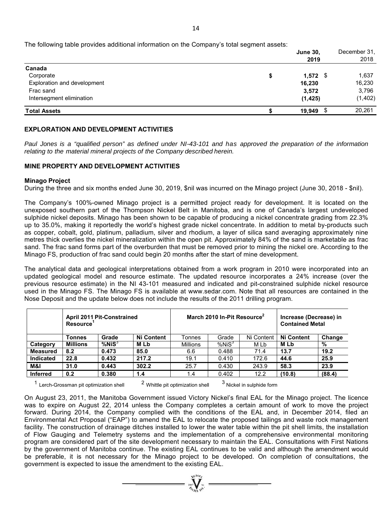The following table provides additional information on the Company's total segment assets:

|                             | <b>June 30.</b><br>2019 | December 31,<br>2018 |
|-----------------------------|-------------------------|----------------------|
| Canada                      |                         |                      |
| Corporate                   | \$<br>$1,572$ \$        | 1,637                |
| Exploration and development | 16,230                  | 16,230               |
| Frac sand                   | 3,572                   | 3,796                |
| Intersegment elimination    | (1, 425)                | (1, 402)             |
| <b>Total Assets</b>         | 19,949                  | 20,261               |

# **EXPLORATION AND DEVELOPMENT ACTIVITIES**

Paul Jones is a "qualified person" as defined under NI-43-101 and has approved the preparation of the information *relating to the material mineral projects of the Company described herein.* 

# **MINE PROPERTY AND DEVELOPMENT ACTIVITIES**

### **Minago Project**

During the three and six months ended June 30, 2019, \$nil was incurred on the Minago project (June 30, 2018 - \$nil).

The Company's 100%-owned Minago project is a permitted project ready for development. It is located on the unexposed southern part of the Thompson Nickel Belt in Manitoba, and is one of Canada's largest undeveloped sulphide nickel deposits. Minago has been shown to be capable of producing a nickel concentrate grading from 22.3% up to 35.0%, making it reportedly the world's highest grade nickel concentrate. In addition to metal by-products such as copper, cobalt, gold, platinum, palladium, silver and rhodium, a layer of silica sand averaging approximately nine metres thick overlies the nickel mineralization within the open pit. Approximately 84% of the sand is marketable as frac sand. The frac sand forms part of the overburden that must be removed prior to mining the nickel ore. According to the Minago FS, production of frac sand could begin 20 months after the start of mine development.

The analytical data and geological interpretations obtained from a work program in 2010 were incorporated into an updated geological model and resource estimate. The updated resource incorporates a 24% increase (over the previous resource estimate) in the NI 43-101 measured and indicated and pit-constrained sulphide nickel resource used in the Minago FS. The Minago FS is available at www.sedar.com. Note that all resources are contained in the Nose Deposit and the update below does not include the results of the 2011 drilling program.

|                  | <b>April 2011 Pit-Constrained</b><br><b>Resource</b> |              |            | March 2010 In-Pit Resource <sup>2</sup> | Increase (Decrease) in<br><b>Contained Metal</b> |            |                   |        |
|------------------|------------------------------------------------------|--------------|------------|-----------------------------------------|--------------------------------------------------|------------|-------------------|--------|
|                  | Tonnes                                               | Grade        | Ni Content | Tonnes                                  | Grade                                            | Ni Content | <b>Ni Content</b> | Change |
| Category         | <b>Millions</b>                                      | $%$ Ni $S^3$ | <b>MLb</b> | <b>Millions</b>                         | $%$ Ni $S^3$                                     | M Lb       | <b>MLb</b>        | %      |
| <b>Measured</b>  | 8.2                                                  | 0.473        | 85.0       | 6.6                                     | 0.488                                            | 71.4       | 13.7              | 19.2   |
| <b>Indicated</b> | 22.8                                                 | 0.432        | 217.2      | 19.1                                    | 0.410                                            | 172.6      | 44.6              | 25.9   |
| M&I              | 31.0                                                 | 0.443        | 302.2      | 25.7                                    | 0.430                                            | 243.9      | 58.3              | 23.9   |
| <b>Inferred</b>  | 0.2                                                  | 0.380        | 1.4        | 1.4                                     | 0.402                                            | 12.2       | (10.8)            | (88.4) |

 $1$  Lerch-Grossman pit optimization shell  $2$  Whittle pit optimization shell  $3$  Nickel in sulphide form

On August 23, 2011, the Manitoba Government issued Victory Nickel's final EAL for the Minago project. The licence was to expire on August 22, 2014 unless the Company completes a certain amount of work to move the project forward. During 2014, the Company complied with the conditions of the EAL and, in December 2014, filed an Environmental Act Proposal ("EAP") to amend the EAL to relocate the proposed tailings and waste rock management facility. The construction of drainage ditches installed to lower the water table within the pit shell limits, the installation of Flow Gauging and Telemetry systems and the implementation of a comprehensive environmental monitoring program are considered part of the site development necessary to maintain the EAL. Consultations with First Nations by the government of Manitoba continue. The existing EAL continues to be valid and although the amendment would be preferable, it is not necessary for the Minago project to be developed. On completion of consultations, the government is expected to issue the amendment to the existing EAL.

 $\sum_{\alpha}$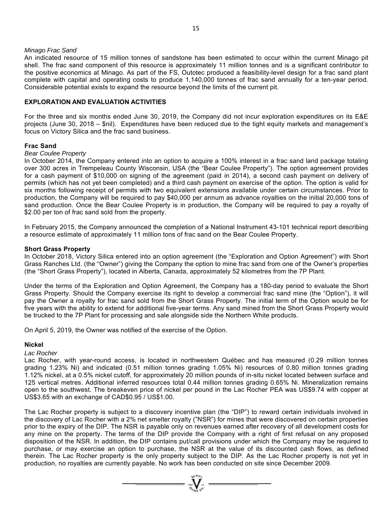#### *Minago Frac Sand*

An indicated resource of 15 million tonnes of sandstone has been estimated to occur within the current Minago pit shell. The frac sand component of this resource is approximately 11 million tonnes and is a significant contributor to the positive economics at Minago. As part of the FS, Outotec produced a feasibility-level design for a frac sand plant complete with capital and operating costs to produce 1,140,000 tonnes of frac sand annually for a ten-year period. Considerable potential exists to expand the resource beyond the limits of the current pit.

# **EXPLORATION AND EVALUATION ACTIVITIES**

For the three and six months ended June 30, 2019, the Company did not incur exploration expenditures on its E&E projects (June 30, 2018 – \$nil). Expenditures have been reduced due to the tight equity markets and management's focus on Victory Silica and the frac sand business.

#### **Frac Sand**

#### *Bear Coulee Property*

In October 2014, the Company entered into an option to acquire a 100% interest in a frac sand land package totaling over 300 acres in Trempeleau County Wisconsin, USA (the "Bear Coulee Property"). The option agreement provides for a cash payment of \$10,000 on signing of the agreement (paid in 2014), a second cash payment on delivery of permits (which has not yet been completed) and a third cash payment on exercise of the option. The option is valid for six months following receipt of permits with two equivalent extensions available under certain circumstances. Prior to production, the Company will be required to pay \$40,000 per annum as advance royalties on the initial 20,000 tons of sand production. Once the Bear Coulee Property is in production, the Company will be required to pay a royalty of \$2.00 per ton of frac sand sold from the property.

In February 2015, the Company announced the completion of a National Instrument 43-101 technical report describing a resource estimate of approximately 11 million tons of frac sand on the Bear Coulee Property.

#### **Short Grass Property**

In October 2018, Victory Silica entered into an option agreement (the "Exploration and Option Agreement") with Short Grass Ranches Ltd. (the "Owner") giving the Company the option to mine frac sand from one of the Owner's properties (the "Short Grass Property"), located in Alberta, Canada, approximately 52 kilometres from the 7P Plant.

Under the terms of the Exploration and Option Agreement, the Company has a 180-day period to evaluate the Short Grass Property. Should the Company exercise its right to develop a commercial frac sand mine (the "Option"), it will pay the Owner a royalty for frac sand sold from the Short Grass Property. The initial term of the Option would be for five years with the ability to extend for additional five-year terms. Any sand mined from the Short Grass Property would be trucked to the 7P Plant for processing and sale alongside side the Northern White products.

On April 5, 2019, the Owner was notified of the exercise of the Option.

#### **Nickel**

*Lac Rocher* 

Lac Rocher, with year-round access, is located in northwestern Québec and has measured (0.29 million tonnes grading 1.23% Ni) and indicated (0.51 million tonnes grading 1.05% Ni) resources of 0.80 million tonnes grading 1.12% nickel, at a 0.5% nickel cutoff, for approximately 20 million pounds of in-situ nickel located between surface and 125 vertical metres. Additional inferred resources total 0.44 million tonnes grading 0.65% Ni. Mineralization remains open to the southwest. The breakeven price of nickel per pound in the Lac Rocher PEA was US\$9.74 with copper at US\$3.65 with an exchange of CAD\$0.95 / US\$1.00.

The Lac Rocher property is subject to a discovery incentive plan (the "DIP") to reward certain individuals involved in the discovery of Lac Rocher with a 2% net smelter royalty ("NSR") for mines that were discovered on certain properties prior to the expiry of the DIP. The NSR is payable only on revenues earned after recovery of all development costs for any mine on the property. The terms of the DIP provide the Company with a right of first refusal on any proposed disposition of the NSR. In addition, the DIP contains put/call provisions under which the Company may be required to purchase, or may exercise an option to purchase, the NSR at the value of its discounted cash flows, as defined therein. The Lac Rocher property is the only property subject to the DIP. As the Lac Rocher property is not yet in production, no royalties are currently payable. No work has been conducted on site since December 2009.

 $= \sqrt[n]{\frac{q_0}{q_0}}$  =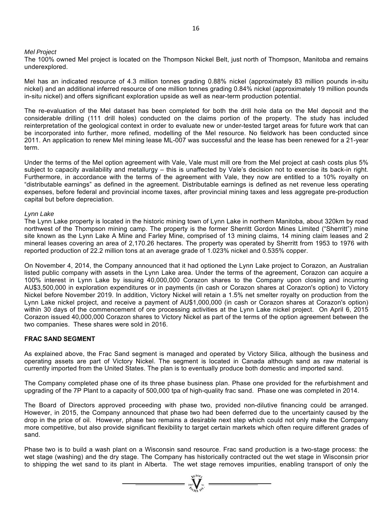#### *Mel Project*

The 100% owned Mel project is located on the Thompson Nickel Belt, just north of Thompson, Manitoba and remains underexplored.

Mel has an indicated resource of 4.3 million tonnes grading 0.88% nickel (approximately 83 million pounds in-situ nickel) and an additional inferred resource of one million tonnes grading 0.84% nickel (approximately 19 million pounds in-situ nickel) and offers significant exploration upside as well as near-term production potential.

The re-evaluation of the Mel dataset has been completed for both the drill hole data on the Mel deposit and the considerable drilling (111 drill holes) conducted on the claims portion of the property. The study has included reinterpretation of the geological context in order to evaluate new or under-tested target areas for future work that can be incorporated into further, more refined, modelling of the Mel resource. No fieldwork has been conducted since 2011. An application to renew Mel mining lease ML-007 was successful and the lease has been renewed for a 21-year term.

Under the terms of the Mel option agreement with Vale, Vale must mill ore from the Mel project at cash costs plus 5% subject to capacity availability and metallurgy – this is unaffected by Vale's decision not to exercise its back-in right. Furthermore, in accordance with the terms of the agreement with Vale, they now are entitled to a 10% royalty on "distributable earnings" as defined in the agreement. Distributable earnings is defined as net revenue less operating expenses, before federal and provincial income taxes, after provincial mining taxes and less aggregate pre-production capital but before depreciation.

#### *Lynn Lake*

The Lynn Lake property is located in the historic mining town of Lynn Lake in northern Manitoba, about 320km by road northwest of the Thompson mining camp. The property is the former Sherritt Gordon Mines Limited ("Sherritt") mine site known as the Lynn Lake A Mine and Farley Mine, comprised of 13 mining claims, 14 mining claim leases and 2 mineral leases covering an area of 2,170.26 hectares. The property was operated by Sherritt from 1953 to 1976 with reported production of 22.2 million tons at an average grade of 1.023% nickel and 0.535% copper.

On November 4, 2014, the Company announced that it had optioned the Lynn Lake project to Corazon, an Australian listed public company with assets in the Lynn Lake area. Under the terms of the agreement, Corazon can acquire a 100% interest in Lynn Lake by issuing 40,000,000 Corazon shares to the Company upon closing and incurring AU\$3,500,000 in exploration expenditures or in payments (in cash or Corazon shares at Corazon's option) to Victory Nickel before November 2019. In addition, Victory Nickel will retain a 1.5% net smelter royalty on production from the Lynn Lake nickel project, and receive a payment of AU\$1,000,000 (in cash or Corazon shares at Corazon's option) within 30 days of the commencement of ore processing activities at the Lynn Lake nickel project. On April 6, 2015 Corazon issued 40,000,000 Corazon shares to Victory Nickel as part of the terms of the option agreement between the two companies. These shares were sold in 2016.

### **FRAC SAND SEGMENT**

As explained above, the Frac Sand segment is managed and operated by Victory Silica, although the business and operating assets are part of Victory Nickel. The segment is located in Canada although sand as raw material is currently imported from the United States. The plan is to eventually produce both domestic and imported sand.

The Company completed phase one of its three phase business plan. Phase one provided for the refurbishment and upgrading of the 7P Plant to a capacity of 500,000 tpa of high-quality frac sand. Phase one was completed in 2014.

The Board of Directors approved proceeding with phase two, provided non-dilutive financing could be arranged. However, in 2015, the Company announced that phase two had been deferred due to the uncertainty caused by the drop in the price of oil. However, phase two remains a desirable next step which could not only make the Company more competitive, but also provide significant flexibility to target certain markets which often require different grades of sand.

Phase two is to build a wash plant on a Wisconsin sand resource. Frac sand production is a two-stage process: the wet stage (washing) and the dry stage. The Company has historically contracted out the wet stage in Wisconsin prior to shipping the wet sand to its plant in Alberta. The wet stage removes impurities, enabling transport of only the

 $= \sum_{\substack{\text{3007}}{q \neq 0 \text{ odd}}}^{q \neq 0 \neq 0}$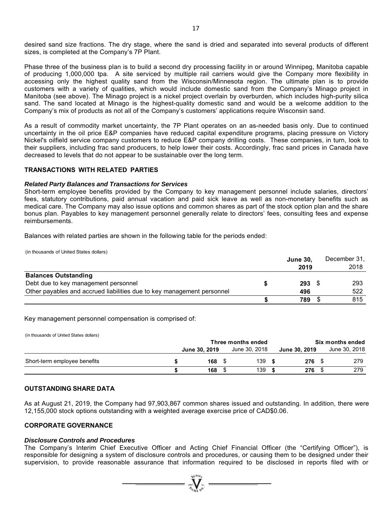desired sand size fractions. The dry stage, where the sand is dried and separated into several products of different sizes, is completed at the Company's 7P Plant.

Phase three of the business plan is to build a second dry processing facility in or around Winnipeg, Manitoba capable of producing 1,000,000 tpa. A site serviced by multiple rail carriers would give the Company more flexibility in accessing only the highest quality sand from the Wisconsin/Minnesota region. The ultimate plan is to provide customers with a variety of qualities, which would include domestic sand from the Company's Minago project in Manitoba (see above). The Minago project is a nickel project overlain by overburden, which includes high-purity silica sand. The sand located at Minago is the highest-quality domestic sand and would be a welcome addition to the Company's mix of products as not all of the Company's customers' applications require Wisconsin sand.

As a result of commodity market uncertainty, the 7P Plant operates on an as-needed basis only. Due to continued uncertainty in the oil price E&P companies have reduced capital expenditure programs, placing pressure on Victory Nickel's oilfield service company customers to reduce E&P company drilling costs. These companies, in turn, look to their suppliers, including frac sand producers, to help lower their costs. Accordingly, frac sand prices in Canada have decreased to levels that do not appear to be sustainable over the long term.

# **TRANSACTIONS WITH RELATED PARTIES**

#### *Related Party Balances and Transactions for Services*

Short-term employee benefits provided by the Company to key management personnel include salaries, directors' fees, statutory contributions, paid annual vacation and paid sick leave as well as non-monetary benefits such as medical care. The Company may also issue options and common shares as part of the stock option plan and the share bonus plan. Payables to key management personnel generally relate to directors' fees, consulting fees and expense reimbursements.

Balances with related parties are shown in the following table for the periods ended:

(in thousands of United States dollars)

|                                                                        | <b>June 30,</b> |  | December 31, |
|------------------------------------------------------------------------|-----------------|--|--------------|
|                                                                        | 2019            |  | 2018         |
| <b>Balances Outstanding</b>                                            |                 |  |              |
| Debt due to key management personnel                                   | $293 \t5$       |  | 293          |
| Other payables and accrued liabilities due to key management personnel | 496             |  | 522          |
|                                                                        | 789             |  | 815          |

#### Key management personnel compensation is comprised of:

(in thousands of United States dollars)

|     |               |        |               | Six months ended |  |               |  |
|-----|---------------|--------|---------------|------------------|--|---------------|--|
|     |               |        |               | June 30, 2019    |  | June 30, 2018 |  |
|     |               | 139    |               | 276              |  | 279           |  |
| 168 |               | 139    |               | 276              |  | 279           |  |
|     | June 30, 2019 | 168 \$ | June 30, 2018 |                  |  |               |  |

#### **OUTSTANDING SHARE DATA**

As at August 21, 2019, the Company had 97,903,867 common shares issued and outstanding. In addition, there were 12,155,000 stock options outstanding with a weighted average exercise price of CAD\$0.06.

#### **CORPORATE GOVERNANCE**

#### *Disclosure Controls and Procedures*

The Company's Interim Chief Executive Officer and Acting Chief Financial Officer (the "Certifying Officer"), is responsible for designing a system of disclosure controls and procedures, or causing them to be designed under their supervision, to provide reasonable assurance that information required to be disclosed in reports filed with or

 $=\prod_{\alpha,\beta}^{\text{max}}$